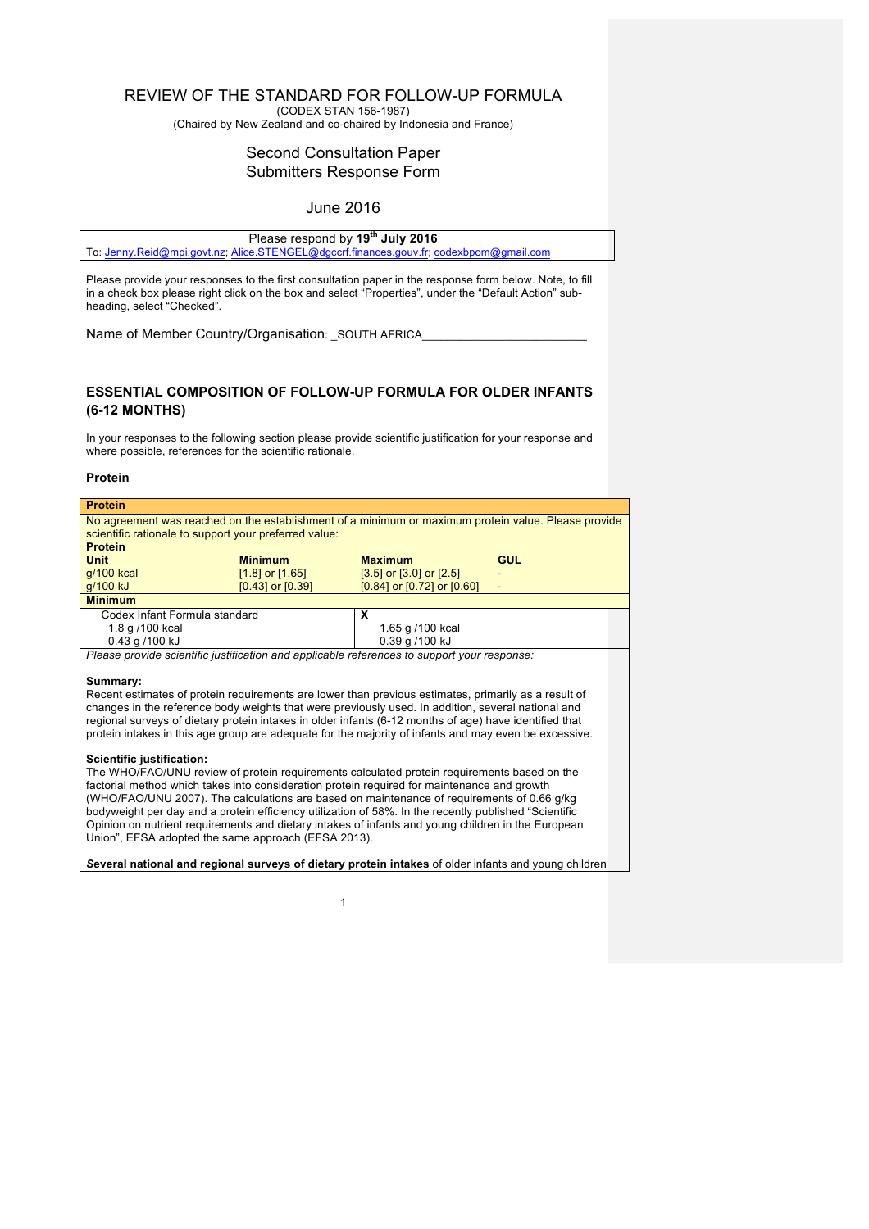### REVIEW OF THE STANDARD FOR FOLLOW-UP FORMULA

(CODEX STAN 156-1987)

(Chaired by New Zealand and co-chaired by Indonesia and France)

## Second Consultation Paper Submitters Response Form

### June 2016

| Please respond by 19 <sup>th</sup> July 2016                                           |
|----------------------------------------------------------------------------------------|
| To: Jenny.Reid@mpi.govt.nz; Alice.STENGEL@dgccrf.finances.gouv.fr; codexbpom@gmail.com |

Please provide your responses to the first consultation paper in the response form below. Note, to fill in a check box please right click on the box and select "Properties", under the "Default Action" subheading, select "Checked".

Name of Member Country/Organisation: \_SOUTH AFRICA

### **ESSENTIAL COMPOSITION OF FOLLOW-UP FORMULA FOR OLDER INFANTS (6-12 MONTHS)**

In your responses to the following section please provide scientific justification for your response and where possible, references for the scientific rationale.

#### **Protein**

| <b>Protein</b>                                                                                                                                               |                     |                               |                          |  |
|--------------------------------------------------------------------------------------------------------------------------------------------------------------|---------------------|-------------------------------|--------------------------|--|
| No agreement was reached on the establishment of a minimum or maximum protein value. Please provide<br>scientific rationale to support your preferred value: |                     |                               |                          |  |
| <b>Protein</b>                                                                                                                                               |                     |                               |                          |  |
| <b>Unit</b>                                                                                                                                                  | <b>Minimum</b>      | <b>Maximum</b>                | <b>GUL</b>               |  |
| $g/100$ kcal                                                                                                                                                 | $[1.8]$ or $[1.65]$ | $[3.5]$ or $[3.0]$ or $[2.5]$ | $\overline{\phantom{0}}$ |  |
| g/100 kJ                                                                                                                                                     | [0.43] or [0.39]    | [0.84] or [0.72] or [0.60]    | $\overline{\phantom{0}}$ |  |
| <b>Minimum</b>                                                                                                                                               |                     |                               |                          |  |
| Codex Infant Formula standard                                                                                                                                |                     | X                             |                          |  |
| 1.8 g /100 kcal                                                                                                                                              |                     | 1.65 g /100 kcal              |                          |  |
| 0.43 g /100 kJ                                                                                                                                               |                     | 0.39 g /100 kJ                |                          |  |

*Please provide scientific justification and applicable references to support your response:*

#### **Summary:**

Recent estimates of protein requirements are lower than previous estimates, primarily as a result of changes in the reference body weights that were previously used. In addition, several national and regional surveys of dietary protein intakes in older infants (6-12 months of age) have identified that protein intakes in this age group are adequate for the majority of infants and may even be excessive.

#### **Scientific justification:**

The WHO/FAO/UNU review of protein requirements calculated protein requirements based on the factorial method which takes into consideration protein required for maintenance and growth (WHO/FAO/UNU 2007). The calculations are based on maintenance of requirements of 0.66 g/kg bodyweight per day and a protein efficiency utilization of 58%. In the recently published "Scientific Opinion on nutrient requirements and dietary intakes of infants and young children in the European Union", EFSA adopted the same approach (EFSA 2013).

*S***everal national and regional surveys of dietary protein intakes** of older infants and young children

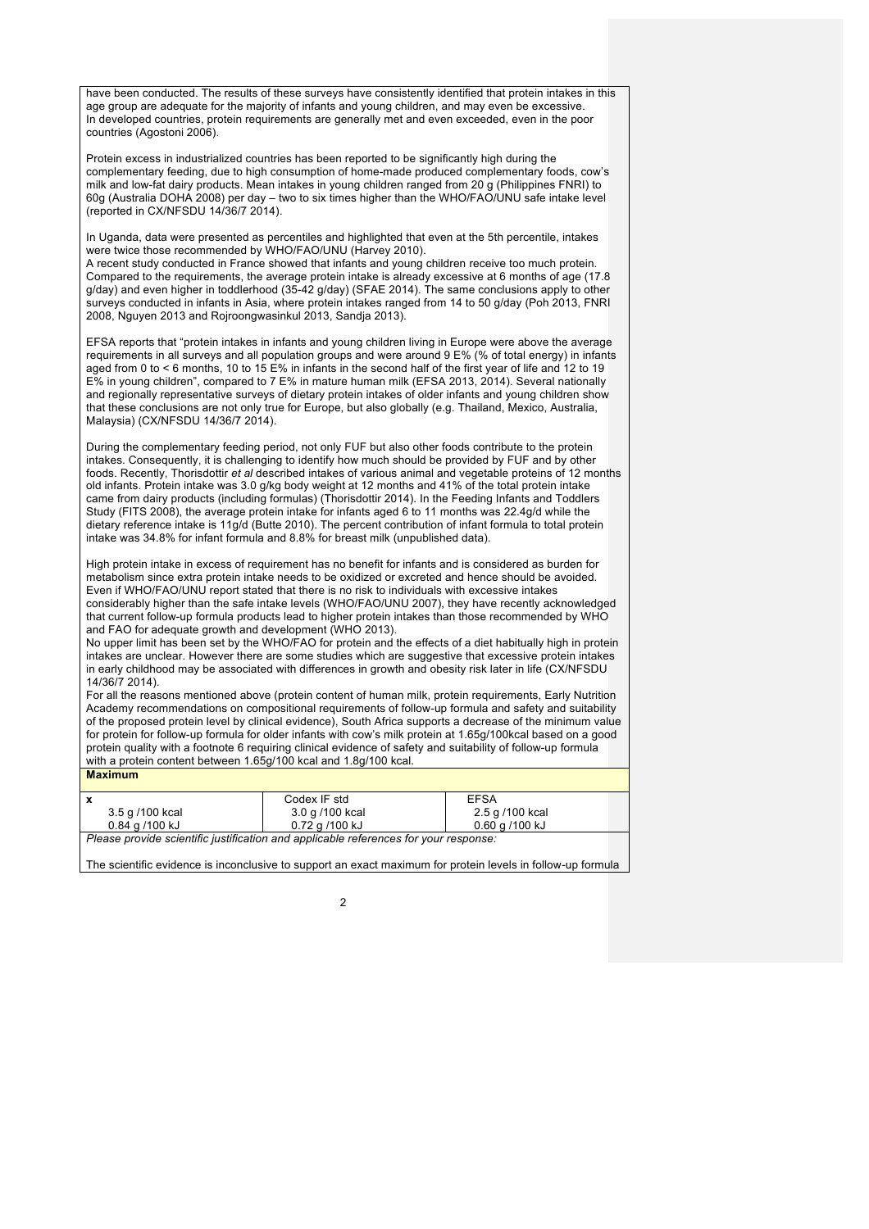have been conducted. The results of these surveys have consistently identified that protein intakes in this age group are adequate for the majority of infants and young children, and may even be excessive. In developed countries, protein requirements are generally met and even exceeded, even in the poor countries (Agostoni 2006).

Protein excess in industrialized countries has been reported to be significantly high during the complementary feeding, due to high consumption of home-made produced complementary foods, cow's milk and low-fat dairy products. Mean intakes in young children ranged from 20 g (Philippines FNRI) to 60g (Australia DOHA 2008) per day – two to six times higher than the WHO/FAO/UNU safe intake level (reported in CX/NFSDU 14/36/7 2014).

In Uganda, data were presented as percentiles and highlighted that even at the 5th percentile, intakes were twice those recommended by WHO/FAO/UNU (Harvey 2010).

A recent study conducted in France showed that infants and young children receive too much protein. Compared to the requirements, the average protein intake is already excessive at 6 months of age (17.8 g/day) and even higher in toddlerhood (35-42 g/day) (SFAE 2014). The same conclusions apply to other surveys conducted in infants in Asia, where protein intakes ranged from 14 to 50 g/day (Poh 2013, FNRI 2008, Nguyen 2013 and Rojroongwasinkul 2013, Sandja 2013).

EFSA reports that "protein intakes in infants and young children living in Europe were above the average requirements in all surveys and all population groups and were around 9 E% (% of total energy) in infants aged from 0 to < 6 months, 10 to 15 E% in infants in the second half of the first year of life and 12 to 19 E% in young children", compared to 7 E% in mature human milk (EFSA 2013, 2014). Several nationally and regionally representative surveys of dietary protein intakes of older infants and young children show that these conclusions are not only true for Europe, but also globally (e.g. Thailand, Mexico, Australia, Malaysia) (CX/NFSDU 14/36/7 2014).

During the complementary feeding period, not only FUF but also other foods contribute to the protein intakes. Consequently, it is challenging to identify how much should be provided by FUF and by other foods. Recently, Thorisdottir *et al* described intakes of various animal and vegetable proteins of 12 months old infants. Protein intake was 3.0 g/kg body weight at 12 months and 41% of the total protein intake came from dairy products (including formulas) (Thorisdottir 2014). In the Feeding Infants and Toddlers Study (FITS 2008), the average protein intake for infants aged 6 to 11 months was 22.4g/d while the dietary reference intake is 11g/d (Butte 2010). The percent contribution of infant formula to total protein intake was 34.8% for infant formula and 8.8% for breast milk (unpublished data).

High protein intake in excess of requirement has no benefit for infants and is considered as burden for metabolism since extra protein intake needs to be oxidized or excreted and hence should be avoided. Even if WHO/FAO/UNU report stated that there is no risk to individuals with excessive intakes considerably higher than the safe intake levels (WHO/FAO/UNU 2007), they have recently acknowledged that current follow-up formula products lead to higher protein intakes than those recommended by WHO and FAO for adequate growth and development (WHO 2013).

No upper limit has been set by the WHO/FAO for protein and the effects of a diet habitually high in protein intakes are unclear. However there are some studies which are suggestive that excessive protein intakes in early childhood may be associated with differences in growth and obesity risk later in life (CX/NFSDU 14/36/7 2014).

For all the reasons mentioned above (protein content of human milk, protein requirements, Early Nutrition Academy recommendations on compositional requirements of follow-up formula and safety and suitability of the proposed protein level by clinical evidence), South Africa supports a decrease of the minimum value for protein for follow-up formula for older infants with cow's milk protein at 1.65g/100kcal based on a good protein quality with a footnote 6 requiring clinical evidence of safety and suitability of follow-up formula with a protein content between 1.65g/100 kcal and 1.8g/100 kcal. **Maximum**

|                                                                                      | Codex IF std    | <b>EFSA</b>     |  |
|--------------------------------------------------------------------------------------|-----------------|-----------------|--|
| 3.5 g /100 kcal                                                                      | 3.0 g /100 kcal | 2.5 g /100 kcal |  |
| 0.84 a /100 kJ<br>0.60 g /100 kJ<br>0.72 a /100 kJ                                   |                 |                 |  |
| Please provide scientific justification and applicable references for your response: |                 |                 |  |

The scientific evidence is inconclusive to support an exact maximum for protein levels in follow-up formula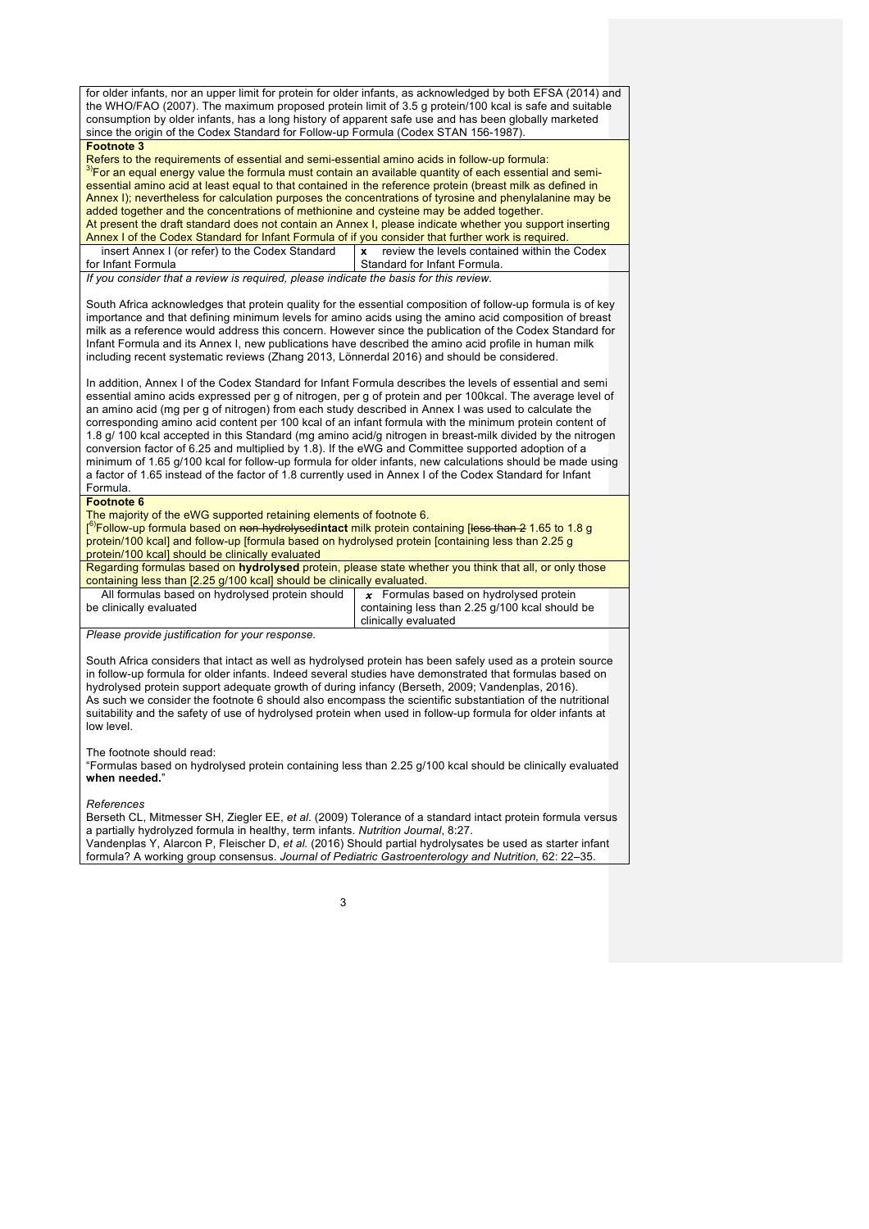for older infants, nor an upper limit for protein for older infants, as acknowledged by both EFSA (2014) and the WHO/FAO (2007). The maximum proposed protein limit of 3.5 g protein/100 kcal is safe and suitable consumption by older infants, has a long history of apparent safe use and has been globally marketed since the origin of the Codex Standard for Follow-up Formula (Codex STAN 156-1987).

**Footnote 3**<br>Refers to the requirements of essential and semi-essential amino acids in follow-up formula:  $\frac{3}{5}$ For an equal energy value the formula must contain an available quantity of each essential and semiessential amino acid at least equal to that contained in the reference protein (breast milk as defined in Annex I); nevertheless for calculation purposes the concentrations of tyrosine and phenylalanine may be added together and the concentrations of methionine and cysteine may be added together. At present the draft standard does not contain an Annex I, please indicate whether you support inserting Annex I of the Codex Standard for Infant Formula of if you consider that further work is required.

 insert Annex I (or refer) to the Codex Standard for Infant Formula **x** review the levels contained within the Codex Standard for Infant Formula.

*If you consider that a review is required, please indicate the basis for this review.*

South Africa acknowledges that protein quality for the essential composition of follow-up formula is of key importance and that defining minimum levels for amino acids using the amino acid composition of breast milk as a reference would address this concern. However since the publication of the Codex Standard for Infant Formula and its Annex I, new publications have described the amino acid profile in human milk including recent systematic reviews (Zhang 2013, Lönnerdal 2016) and should be considered.

In addition, Annex I of the Codex Standard for Infant Formula describes the levels of essential and semi essential amino acids expressed per g of nitrogen, per g of protein and per 100kcal. The average level of an amino acid (mg per g of nitrogen) from each study described in Annex I was used to calculate the corresponding amino acid content per 100 kcal of an infant formula with the minimum protein content of 1.8 g/ 100 kcal accepted in this Standard (mg amino acid/g nitrogen in breast-milk divided by the nitrogen conversion factor of 6.25 and multiplied by 1.8). If the eWG and Committee supported adoption of a minimum of 1.65 g/100 kcal for follow-up formula for older infants, new calculations should be made using a factor of 1.65 instead of the factor of 1.8 currently used in Annex I of the Codex Standard for Infant Formula.

#### **Footnote 6**

The majority of the eWG supported retaining elements of footnote 6.

[ 6)Follow-up formula based on non-hydrolysed**intact** milk protein containing [less than 2 1.65 to 1.8 g protein/100 kcal] and follow-up [formula based on hydrolysed protein [containing less than 2.25 g protein/100 kcal] should be clinically evaluated

- Regarding formulas based on **hydrolysed** protein, please state whether you think that all, or only those containing less than [2.25 g/100 kcal] should be clinically evaluated. All formulas based on hydrolysed protein should *x* Formulas based on hydrolysed protein
- be clinically evaluated

containing less than 2.25 g/100 kcal should be clinically evaluated

*Please provide justification for your response.*

South Africa considers that intact as well as hydrolysed protein has been safely used as a protein source in follow-up formula for older infants. Indeed several studies have demonstrated that formulas based on hydrolysed protein support adequate growth of during infancy (Berseth, 2009; Vandenplas, 2016). As such we consider the footnote 6 should also encompass the scientific substantiation of the nutritional suitability and the safety of use of hydrolysed protein when used in follow-up formula for older infants at low level.

#### The footnote should read:

"Formulas based on hydrolysed protein containing less than 2.25 g/100 kcal should be clinically evaluated **when needed.**"

*References*

Berseth CL, Mitmesser SH, Ziegler EE, *et al.* (2009) Tolerance of a standard intact protein formula versus a partially hydrolyzed formula in healthy, term infants. *Nutrition Journal*, 8:27.

Vandenplas Y, Alarcon P, Fleischer D, *et al.* (2016) Should partial hydrolysates be used as starter infant formula? A working group consensus. *Journal of Pediatric Gastroenterology and Nutrition,* 62: 22–35.

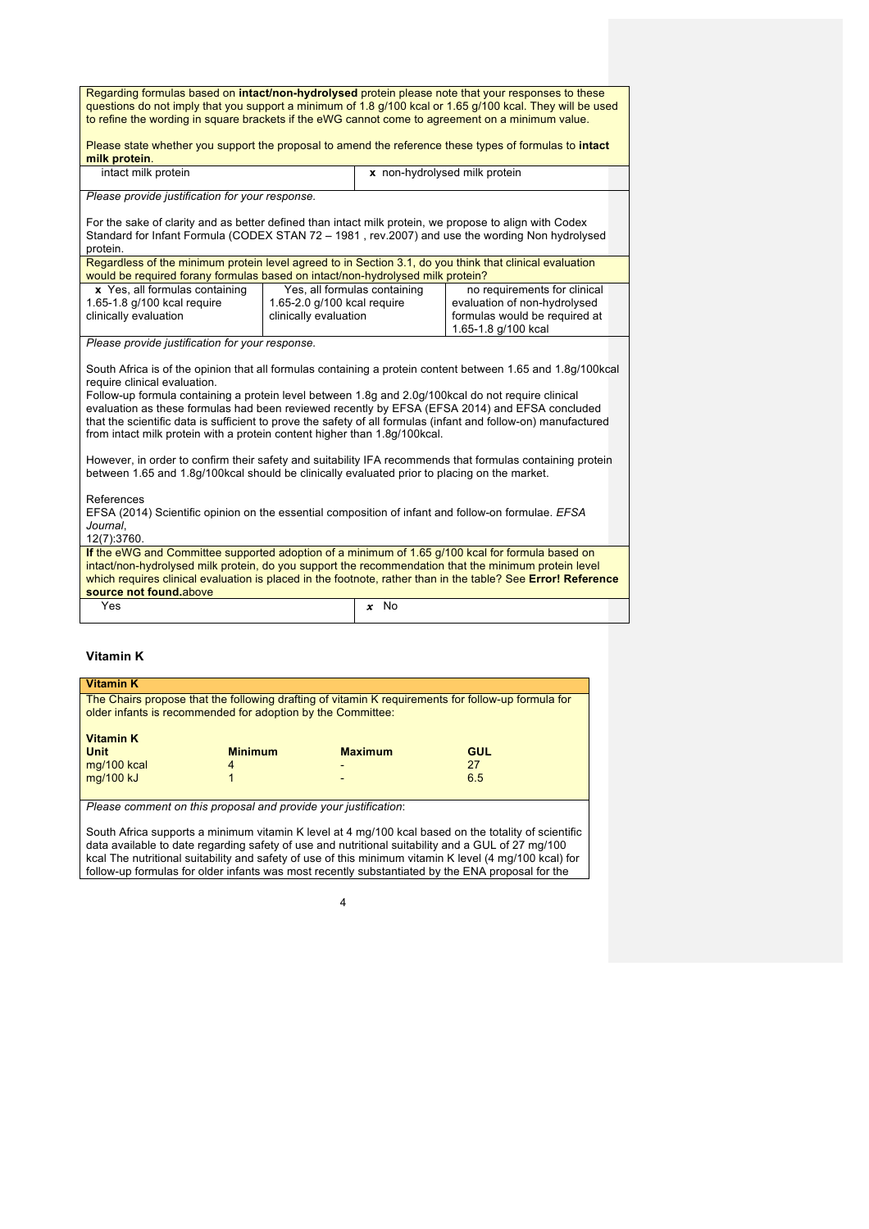| Regarding formulas based on intact/non-hydrolysed protein please note that your responses to these<br>questions do not imply that you support a minimum of 1.8 g/100 kcal or 1.65 g/100 kcal. They will be used<br>to refine the wording in square brackets if the eWG cannot come to agreement on a minimum value.                                                                                                                                                                                                                                |  |                                                                                      |  |
|----------------------------------------------------------------------------------------------------------------------------------------------------------------------------------------------------------------------------------------------------------------------------------------------------------------------------------------------------------------------------------------------------------------------------------------------------------------------------------------------------------------------------------------------------|--|--------------------------------------------------------------------------------------|--|
| Please state whether you support the proposal to amend the reference these types of formulas to intact<br>milk protein.                                                                                                                                                                                                                                                                                                                                                                                                                            |  |                                                                                      |  |
| intact milk protein                                                                                                                                                                                                                                                                                                                                                                                                                                                                                                                                |  | x non-hydrolysed milk protein                                                        |  |
| Please provide justification for your response.                                                                                                                                                                                                                                                                                                                                                                                                                                                                                                    |  |                                                                                      |  |
| For the sake of clarity and as better defined than intact milk protein, we propose to align with Codex<br>Standard for Infant Formula (CODEX STAN 72 - 1981, rev.2007) and use the wording Non hydrolysed<br>protein.                                                                                                                                                                                                                                                                                                                              |  |                                                                                      |  |
| Regardless of the minimum protein level agreed to in Section 3.1, do you think that clinical evaluation<br>would be required forany formulas based on intact/non-hydrolysed milk protein?                                                                                                                                                                                                                                                                                                                                                          |  |                                                                                      |  |
| Yes, all formulas containing<br>x Yes, all formulas containing<br>1.65-1.8 g/100 kcal require<br>1.65-2.0 g/100 kcal require<br>evaluation of non-hydrolysed<br>clinically evaluation<br>clinically evaluation                                                                                                                                                                                                                                                                                                                                     |  | no requirements for clinical<br>formulas would be required at<br>1.65-1.8 g/100 kcal |  |
| Please provide justification for your response.                                                                                                                                                                                                                                                                                                                                                                                                                                                                                                    |  |                                                                                      |  |
| South Africa is of the opinion that all formulas containing a protein content between 1.65 and 1.8g/100kcal<br>require clinical evaluation.<br>Follow-up formula containing a protein level between 1.8g and 2.0g/100kcal do not require clinical<br>evaluation as these formulas had been reviewed recently by EFSA (EFSA 2014) and EFSA concluded<br>that the scientific data is sufficient to prove the safety of all formulas (infant and follow-on) manufactured<br>from intact milk protein with a protein content higher than 1.8q/100kcal. |  |                                                                                      |  |
| However, in order to confirm their safety and suitability IFA recommends that formulas containing protein<br>between 1.65 and 1.8g/100kcal should be clinically evaluated prior to placing on the market.                                                                                                                                                                                                                                                                                                                                          |  |                                                                                      |  |
| References<br>EFSA (2014) Scientific opinion on the essential composition of infant and follow-on formulae. EFSA<br>Journal,<br>12(7):3760.                                                                                                                                                                                                                                                                                                                                                                                                        |  |                                                                                      |  |
| If the eWG and Committee supported adoption of a minimum of 1.65 g/100 kcal for formula based on<br>intact/non-hydrolysed milk protein, do you support the recommendation that the minimum protein level<br>which requires clinical evaluation is placed in the footnote, rather than in the table? See Error! Reference<br>source not found.above                                                                                                                                                                                                 |  |                                                                                      |  |
| Yes                                                                                                                                                                                                                                                                                                                                                                                                                                                                                                                                                |  | $x$ No                                                                               |  |

### **Vitamin K**

| <b>Vitamin K</b>                                                                                                                                                  |                |                          |     |  |
|-------------------------------------------------------------------------------------------------------------------------------------------------------------------|----------------|--------------------------|-----|--|
| The Chairs propose that the following drafting of vitamin K requirements for follow-up formula for<br>older infants is recommended for adoption by the Committee: |                |                          |     |  |
| <b>Vitamin K</b>                                                                                                                                                  |                |                          |     |  |
| <b>Unit</b>                                                                                                                                                       | <b>Minimum</b> | <b>Maximum</b>           | GUL |  |
| mg/100 kcal                                                                                                                                                       | 4              | $\overline{\phantom{0}}$ | 27  |  |
| mg/100 kJ                                                                                                                                                         |                | $\overline{\phantom{0}}$ | 6.5 |  |
|                                                                                                                                                                   |                |                          |     |  |
| Please comment on this proposal and provide your justification:                                                                                                   |                |                          |     |  |
|                                                                                                                                                                   |                |                          |     |  |

South Africa supports a minimum vitamin K level at 4 mg/100 kcal based on the totality of scientific data available to date regarding safety of use and nutritional suitability and a GUL of 27 mg/100 kcal The nutritional suitability and safety of use of this minimum vitamin K level (4 mg/100 kcal) for follow-up formulas for older infants was most recently substantiated by the ENA proposal for the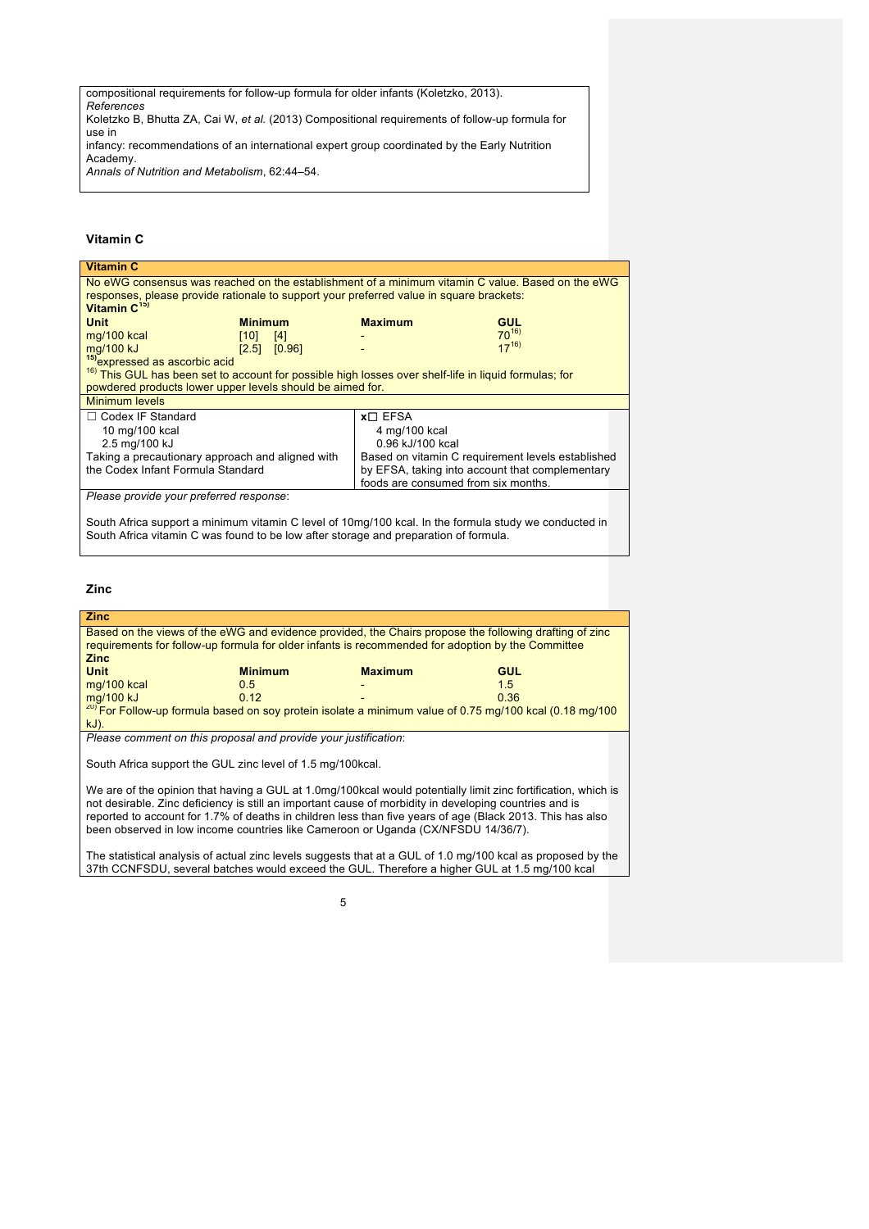compositional requirements for follow-up formula for older infants (Koletzko, 2013).

*References* Koletzko B, Bhutta ZA, Cai W, *et al.* (2013) Compositional requirements of follow-up formula for use in

infancy: recommendations of an international expert group coordinated by the Early Nutrition Academy.

*Annals of Nutrition and Metabolism*, 62:44–54.

### **Vitamin C**

| <b>Vitamin C</b>                                                                                                 |                |               |                                                   |            |
|------------------------------------------------------------------------------------------------------------------|----------------|---------------|---------------------------------------------------|------------|
| No eWG consensus was reached on the establishment of a minimum vitamin C value. Based on the eWG                 |                |               |                                                   |            |
| responses, please provide rationale to support your preferred value in square brackets:                          |                |               |                                                   |            |
| Vitamin $C^{15}$                                                                                                 |                |               |                                                   |            |
| <b>Unit</b>                                                                                                      | <b>Minimum</b> |               | <b>Maximum</b>                                    | <b>GUL</b> |
| mg/100 kcal                                                                                                      | [10]           | [4]           |                                                   | $70^{16}$  |
| mg/100 kJ                                                                                                        | [2.5]          | [0.96]        |                                                   | $17^{16}$  |
| <sup>15)</sup> expressed as ascorbic acid                                                                        |                |               |                                                   |            |
| <sup>16)</sup> This GUL has been set to account for possible high losses over shelf-life in liquid formulas; for |                |               |                                                   |            |
| powdered products lower upper levels should be aimed for.                                                        |                |               |                                                   |            |
| Minimum levels                                                                                                   |                |               |                                                   |            |
| $\Box$ Codex IF Standard                                                                                         |                | $x \Box$ EFSA |                                                   |            |
| 10 mg/100 kcal                                                                                                   |                |               | 4 mg/100 kcal                                     |            |
| 2.5 mg/100 kJ                                                                                                    |                |               | 0.96 kJ/100 kcal                                  |            |
| Taking a precautionary approach and aligned with                                                                 |                |               | Based on vitamin C requirement levels established |            |
| the Codex Infant Formula Standard                                                                                |                |               | by EFSA, taking into account that complementary   |            |
|                                                                                                                  |                |               | foods are consumed from six months.               |            |
| Please provide your preferred response:                                                                          |                |               |                                                   |            |
|                                                                                                                  |                |               |                                                   |            |
| South Africa support a minimum vitamin C level of 10mg/100 kcal. In the formula study we conducted in            |                |               |                                                   |            |
| South Africa vitamin C was found to be low after storage and preparation of formula.                             |                |               |                                                   |            |

#### **Zinc**

| <b>Zinc</b>                                                                                                                                                                                                 |                                                                |                          |      |
|-------------------------------------------------------------------------------------------------------------------------------------------------------------------------------------------------------------|----------------------------------------------------------------|--------------------------|------|
| Based on the views of the eWG and evidence provided, the Chairs propose the following drafting of zinc<br>requirements for follow-up formula for older infants is recommended for adoption by the Committee |                                                                |                          |      |
|                                                                                                                                                                                                             |                                                                |                          |      |
| <b>Zinc</b>                                                                                                                                                                                                 |                                                                |                          |      |
| <b>Unit</b>                                                                                                                                                                                                 | <b>Minimum</b>                                                 | <b>Maximum</b>           | GUL  |
| mg/100 kcal                                                                                                                                                                                                 | 0.5                                                            |                          | 1.5  |
| mg/100 kJ                                                                                                                                                                                                   | 0,12                                                           | $\overline{\phantom{0}}$ | 0.36 |
| <sup>20)</sup> For Follow-up formula based on soy protein isolate a minimum value of 0.75 mg/100 kcal (0.18 mg/100                                                                                          |                                                                |                          |      |
| $kJ$ ).                                                                                                                                                                                                     |                                                                |                          |      |
|                                                                                                                                                                                                             | Place commant on this proposal and provide vour iustification: |                          |      |

*Please comment on this proposal and provide your justification*:

South Africa support the GUL zinc level of 1.5 mg/100kcal.

We are of the opinion that having a GUL at 1.0mg/100kcal would potentially limit zinc fortification, which is not desirable. Zinc deficiency is still an important cause of morbidity in developing countries and is reported to account for 1.7% of deaths in children less than five years of age (Black 2013. This has also been observed in low income countries like Cameroon or Uganda (CX/NFSDU 14/36/7).

The statistical analysis of actual zinc levels suggests that at a GUL of 1.0 mg/100 kcal as proposed by the 37th CCNFSDU, several batches would exceed the GUL. Therefore a higher GUL at 1.5 mg/100 kcal

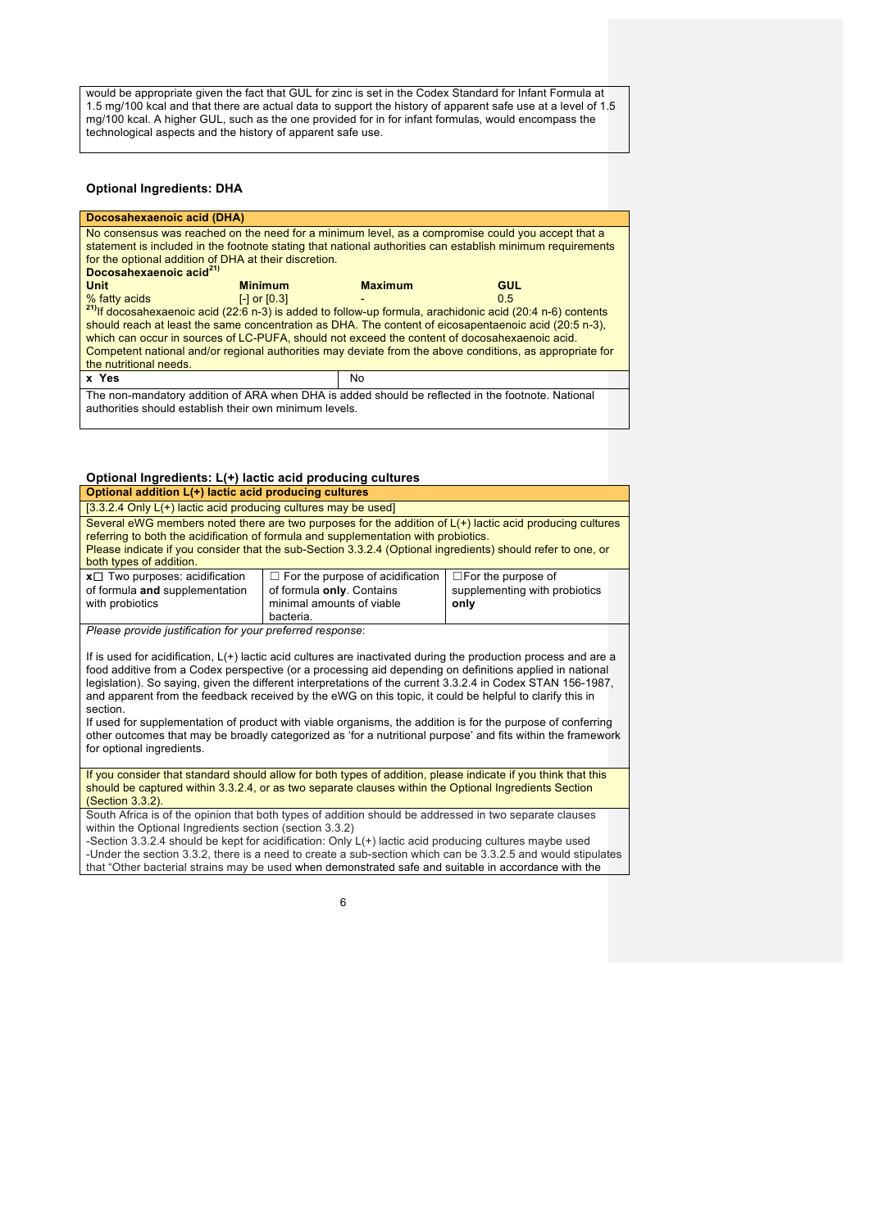would be appropriate given the fact that GUL for zinc is set in the Codex Standard for Infant Formula at 1.5 mg/100 kcal and that there are actual data to support the history of apparent safe use at a level of 1.5 mg/100 kcal. A higher GUL, such as the one provided for in for infant formulas, would encompass the technological aspects and the history of apparent safe use.

#### **Optional Ingredients: DHA**

| Docosahexaenoic acid (DHA)                                                                                                                                                                                                     |                                          |                |            |  |
|--------------------------------------------------------------------------------------------------------------------------------------------------------------------------------------------------------------------------------|------------------------------------------|----------------|------------|--|
| No consensus was reached on the need for a minimum level, as a compromise could you accept that a<br>statement is included in the footnote stating that national authorities can establish minimum requirements                |                                          |                |            |  |
| for the optional addition of DHA at their discretion.                                                                                                                                                                          |                                          |                |            |  |
| Docosahexaenoic acid <sup>21)</sup>                                                                                                                                                                                            |                                          |                |            |  |
| <b>Unit</b>                                                                                                                                                                                                                    | <b>Minimum</b>                           | <b>Maximum</b> | <b>GUL</b> |  |
| % fatty acids                                                                                                                                                                                                                  | $\lceil - \rceil$ or $\lceil 0.3 \rceil$ |                | 0.5        |  |
|                                                                                                                                                                                                                                |                                          |                |            |  |
| <sup>21)</sup> If docosahexaenoic acid (22:6 n-3) is added to follow-up formula, arachidonic acid (20:4 n-6) contents<br>should reach at least the same concentration as DHA. The content of eicosapentaenoic acid (20:5 n-3), |                                          |                |            |  |
| which can occur in sources of LC-PUFA, should not exceed the content of docosahexaenoic acid.                                                                                                                                  |                                          |                |            |  |
| Competent national and/or regional authorities may deviate from the above conditions, as appropriate for                                                                                                                       |                                          |                |            |  |
| the nutritional needs.                                                                                                                                                                                                         |                                          |                |            |  |
| x Yes<br>No                                                                                                                                                                                                                    |                                          |                |            |  |
| The non-mandatory addition of ARA when DHA is added should be reflected in the footnote. National<br>authorities should establish their own minimum levels.                                                                    |                                          |                |            |  |

### **Optional Ingredients: L(+) lactic acid producing cultures**

| Optional addition L(+) lactic acid producing cultures                                                                                                                                                                                                                                                                                       |                                                                    |  |  |  |
|---------------------------------------------------------------------------------------------------------------------------------------------------------------------------------------------------------------------------------------------------------------------------------------------------------------------------------------------|--------------------------------------------------------------------|--|--|--|
|                                                                                                                                                                                                                                                                                                                                             | $[3.3.2.4$ Only $L(+)$ lactic acid producing cultures may be used] |  |  |  |
| Several eWG members noted there are two purposes for the addition of $L(+)$ lactic acid producing cultures<br>referring to both the acidification of formula and supplementation with probiotics.<br>Please indicate if you consider that the sub-Section 3.3.2.4 (Optional ingredients) should refer to one, or<br>both types of addition. |                                                                    |  |  |  |
| $x \Box$ Two purposes: acidification<br>$\Box$ For the purpose of acidification<br>$\Box$ For the purpose of<br>supplementing with probiotics<br>of formula and supplementation<br>of formula only. Contains<br>minimal amounts of viable<br>with probiotics<br>only<br>bacteria.                                                           |                                                                    |  |  |  |
| Please provide justification for your preferred response:<br>If is used for acidification, L(+) lactic acid cultures are inactivated during the production process and are a                                                                                                                                                                |                                                                    |  |  |  |

food additive from a Codex perspective (or a processing aid depending on definitions applied in national legislation). So saying, given the different interpretations of the current 3.3.2.4 in Codex STAN 156-1987, and apparent from the feedback received by the eWG on this topic, it could be helpful to clarify this in section.

If used for supplementation of product with viable organisms, the addition is for the purpose of conferring other outcomes that may be broadly categorized as 'for a nutritional purpose' and fits within the framework for optional ingredients.

If you consider that standard should allow for both types of addition, please indicate if you think that this should be captured within 3.3.2.4, or as two separate clauses within the Optional Ingredients Section (Section 3.3.2).

South Africa is of the opinion that both types of addition should be addressed in two separate clauses within the Optional Ingredients section (section 3.3.2)

-Section 3.3.2.4 should be kept for acidification: Only L(+) lactic acid producing cultures maybe used -Under the section 3.3.2, there is a need to create a sub-section which can be 3.3.2.5 and would stipulates that "Other bacterial strains may be used when demonstrated safe and suitable in accordance with the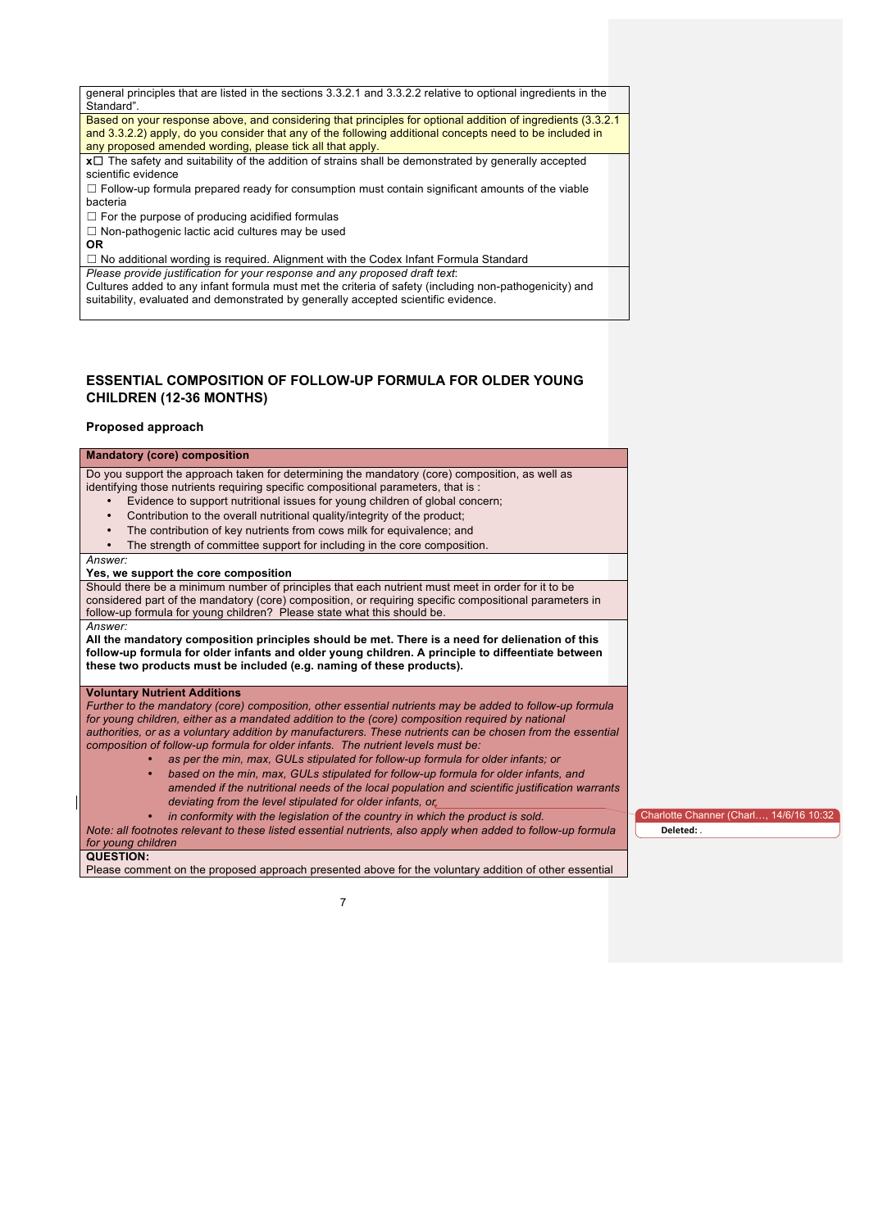| general principles that are listed in the sections 3.3.2.1 and 3.3.2.2 relative to optional ingredients in the |  |
|----------------------------------------------------------------------------------------------------------------|--|
| Standard".                                                                                                     |  |
| Based on your response above, and considering that principles for optional addition of ingredients (3.3.2.1)   |  |
| and 3.3.2.2) apply, do you consider that any of the following additional concepts need to be included in       |  |
| any proposed amended wording, please tick all that apply.                                                      |  |
| $x \Box$ The safety and suitability of the addition of strains shall be demonstrated by generally accepted     |  |
| scientific evidence                                                                                            |  |
| $\Box$ Follow-up formula prepared ready for consumption must contain significant amounts of the viable         |  |
| bacteria                                                                                                       |  |
| $\Box$ For the purpose of producing acidified formulas                                                         |  |
| $\Box$ Non-pathogenic lactic acid cultures may be used                                                         |  |
| <b>OR</b>                                                                                                      |  |
| $\Box$ No additional wording is required. Alignment with the Codex Infant Formula Standard                     |  |
| Please provide justification for your response and any proposed draft text:                                    |  |
| Cultures added to any infant formula must met the criteria of safety (including non-pathogenicity) and         |  |
| suitability, evaluated and demonstrated by generally accepted scientific evidence.                             |  |

### **ESSENTIAL COMPOSITION OF FOLLOW-UP FORMULA FOR OLDER YOUNG CHILDREN (12-36 MONTHS)**

#### **Proposed approach**

#### **Mandatory (core) composition** Do you support the approach taken for determining the mandatory (core) composition, as well as identifying those nutrients requiring specific compositional parameters, that is : • Evidence to support nutritional issues for young children of global concern; • Contribution to the overall nutritional quality/integrity of the product; The contribution of key nutrients from cows milk for equivalence; and The strength of committee support for including in the core composition. *Answer:* **Yes, we support the core composition** Should there be a minimum number of principles that each nutrient must meet in order for it to be considered part of the mandatory (core) composition, or requiring specific compositional parameters in follow-up formula for young children? Please state what this should be. *Answer:* **All the mandatory composition principles should be met. There is a need for delienation of this follow-up formula for older infants and older young children. A principle to diffeentiate between these two products must be included (e.g. naming of these products). Voluntary Nutrient Additions** *Further to the mandatory (core) composition, other essential nutrients may be added to follow-up formula*  for young children, either as a mandated addition to the (core) composition required by national *authorities, or as a voluntary addition by manufacturers. These nutrients can be chosen from the essential composition of follow-up formula for older infants. The nutrient levels must be:* • *as per the min, max, GULs stipulated for follow-up formula for older infants; or* • *based on the min, max, GULs stipulated for follow-up formula for older infants, and amended if the nutritional needs of the local population and scientific justification warrants deviating from the level stipulated for older infants, or* • *in conformity with the legislation of the country in which the product is sold. Note: all footnotes relevant to these listed essential nutrients, also apply when added to follow-up formula for young children* **QUESTION:** Charlotte Channer (Charl…, 14/6/16 10:32 **Deleted:** *.*

Please comment on the proposed approach presented above for the voluntary addition of other essential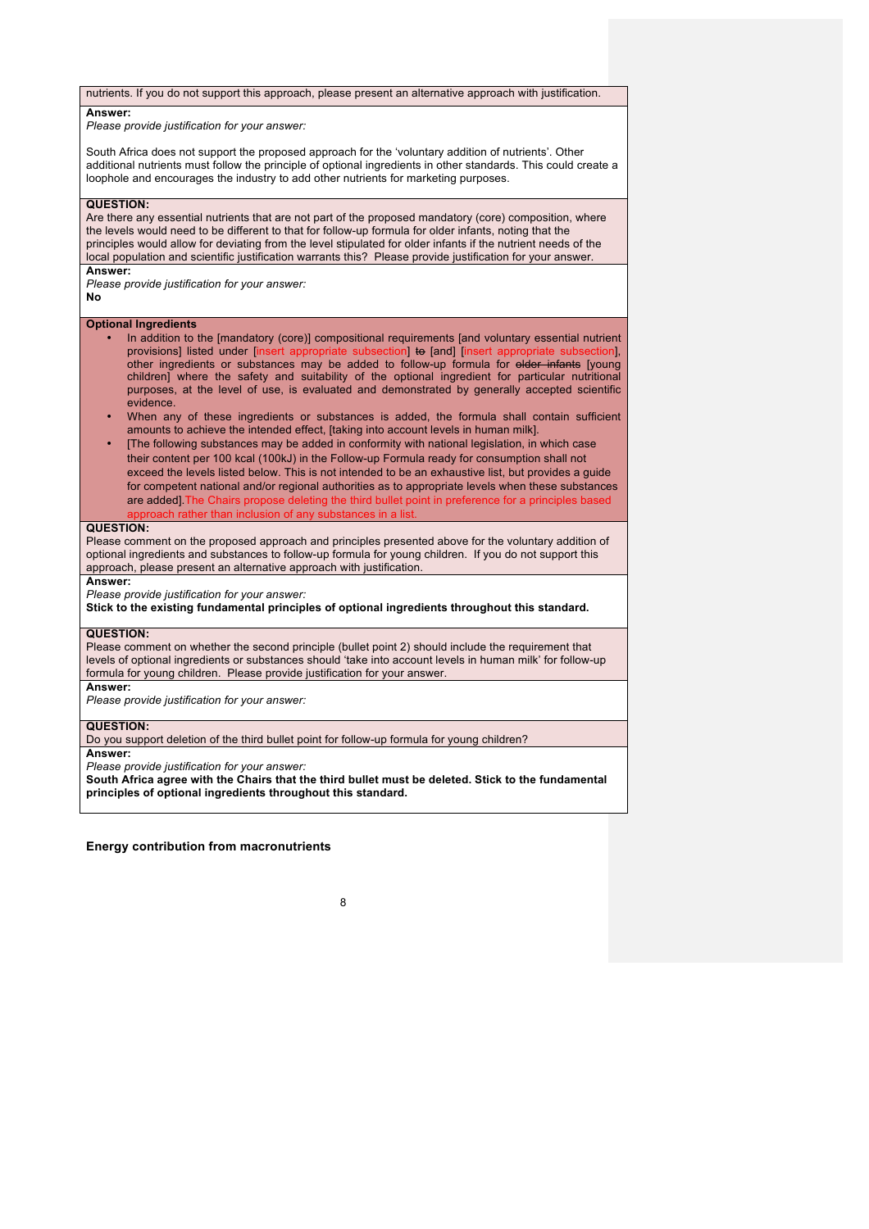#### nutrients. If you do not support this approach, please present an alternative approach with justification.

#### **Answer:**

*Please provide justification for your answer:*

South Africa does not support the proposed approach for the 'voluntary addition of nutrients'. Other additional nutrients must follow the principle of optional ingredients in other standards. This could create a loophole and encourages the industry to add other nutrients for marketing purposes.

#### **QUESTION:**

Are there any essential nutrients that are not part of the proposed mandatory (core) composition, where the levels would need to be different to that for follow-up formula for older infants, noting that the principles would allow for deviating from the level stipulated for older infants if the nutrient needs of the local population and scientific justification warrants this? Please provide justification for your answer. **Answer:**

*Please provide justification for your answer:* **No**

#### **Optional Ingredients**

- In addition to the [mandatory (core)] compositional requirements [and voluntary essential nutrient provisions] listed under [insert appropriate subsection] to [and] [insert appropriate subsection], provisions] listed under [insert ap other ingredients or substances may be added to follow-up formula for older infants [young children] where the safety and suitability of the optional ingredient for particular nutritional purposes, at the level of use, is evaluated and demonstrated by generally accepted scientific evidence.
- When any of these ingredients or substances is added, the formula shall contain sufficient amounts to achieve the intended effect, [taking into account levels in human milk].
- [The following substances may be added in conformity with national legislation, in which case their content per 100 kcal (100kJ) in the Follow-up Formula ready for consumption shall not exceed the levels listed below. This is not intended to be an exhaustive list, but provides a guide for competent national and/or regional authorities as to appropriate levels when these substances are added].The Chairs propose deleting the third bullet point in preference for a principles based approach rather than inclusion of any substances in a list.

#### **QUESTION:**

Please comment on the proposed approach and principles presented above for the voluntary addition of optional ingredients and substances to follow-up formula for young children. If you do not support this approach, please present an alternative approach with justification.

#### **Answer:**

*Please provide justification for your answer:*

**Stick to the existing fundamental principles of optional ingredients throughout this standard.**

#### **QUESTION:**

Please comment on whether the second principle (bullet point 2) should include the requirement that levels of optional ingredients or substances should 'take into account levels in human milk' for follow-up formula for young children. Please provide justification for your answer.

#### **Answer:**

*Please provide justification for your answer:*

### **QUESTION:**

Do you support deletion of the third bullet point for follow-up formula for young children? **Answer:**

*Please provide justification for your answer:*

**South Africa agree with the Chairs that the third bullet must be deleted. Stick to the fundamental principles of optional ingredients throughout this standard.**

#### **Energy contribution from macronutrients**

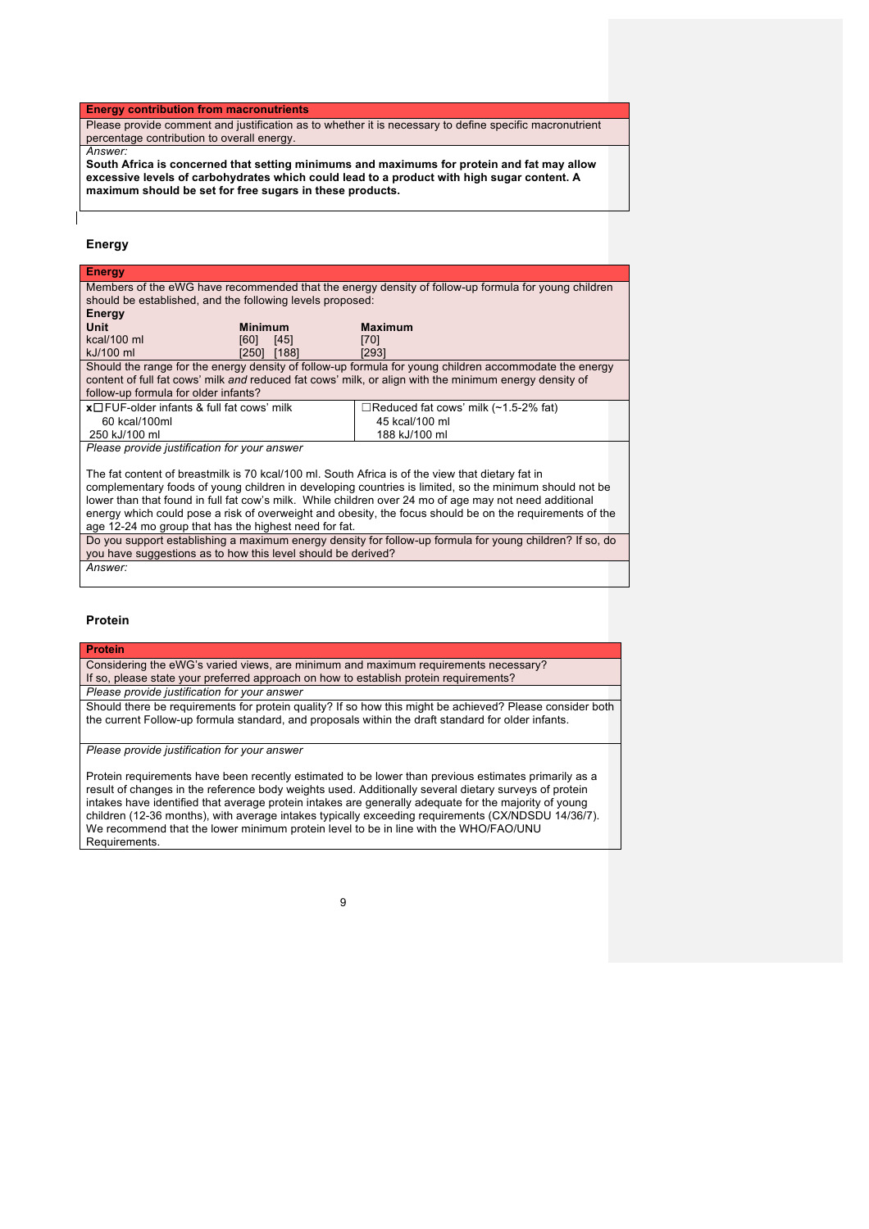#### **Energy contribution from macronutrients**

Please provide comment and justification as to whether it is necessary to define specific macronutrient percentage contribution to overall energy.

#### *Answer:*

**South Africa is concerned that setting minimums and maximums for protein and fat may allow excessive levels of carbohydrates which could lead to a product with high sugar content. A maximum should be set for free sugars in these products.**

### **Energy**

| <b>Energy</b>                                                                                            |                |                                                                                                          |  |
|----------------------------------------------------------------------------------------------------------|----------------|----------------------------------------------------------------------------------------------------------|--|
| Members of the eWG have recommended that the energy density of follow-up formula for young children      |                |                                                                                                          |  |
| should be established, and the following levels proposed:                                                |                |                                                                                                          |  |
| Energy                                                                                                   |                |                                                                                                          |  |
| Unit                                                                                                     | <b>Minimum</b> | <b>Maximum</b>                                                                                           |  |
| kcal/100 ml                                                                                              | [60]<br>[45]   | [70]                                                                                                     |  |
| kJ/100 ml                                                                                                | [188]<br>[250] | [293]                                                                                                    |  |
|                                                                                                          |                | Should the range for the energy density of follow-up formula for young children accommodate the energy   |  |
|                                                                                                          |                | content of full fat cows' milk and reduced fat cows' milk, or align with the minimum energy density of   |  |
| follow-up formula for older infants?                                                                     |                |                                                                                                          |  |
| $x \Box FUF$ -older infants & full fat cows' milk                                                        |                | $\Box$ Reduced fat cows' milk (~1.5-2% fat)                                                              |  |
| 60 kcal/100ml                                                                                            |                | 45 kcal/100 ml                                                                                           |  |
| 250 kJ/100 ml                                                                                            |                | 188 kJ/100 ml                                                                                            |  |
| Please provide justification for your answer                                                             |                |                                                                                                          |  |
|                                                                                                          |                |                                                                                                          |  |
| The fat content of breastmilk is 70 kcal/100 ml. South Africa is of the view that dietary fat in         |                |                                                                                                          |  |
| complementary foods of young children in developing countries is limited, so the minimum should not be   |                |                                                                                                          |  |
| lower than that found in full fat cow's milk. While children over 24 mo of age may not need additional   |                |                                                                                                          |  |
|                                                                                                          |                | energy which could pose a risk of overweight and obesity, the focus should be on the requirements of the |  |
| age 12-24 mo group that has the highest need for fat.                                                    |                |                                                                                                          |  |
| Do you support establishing a maximum energy density for follow-up formula for young children? If so, do |                |                                                                                                          |  |

Do you support establishing a maximum energy density for follow-up formula for young children? If so, do you have suggestions as to how this level should be derived? *Answer:*

#### **Protein**

# **Protein**

Considering the eWG's varied views, are minimum and maximum requirements necessary? If so, please state your preferred approach on how to establish protein requirements? *Please provide justification for your answer*

Should there be requirements for protein quality? If so how this might be achieved? Please consider both the current Follow-up formula standard, and proposals within the draft standard for older infants.

*Please provide justification for your answer*

Protein requirements have been recently estimated to be lower than previous estimates primarily as a result of changes in the reference body weights used. Additionally several dietary surveys of protein intakes have identified that average protein intakes are generally adequate for the majority of young children (12-36 months), with average intakes typically exceeding requirements (CX/NDSDU 14/36/7). We recommend that the lower minimum protein level to be in line with the WHO/FAO/UNU **Requirements**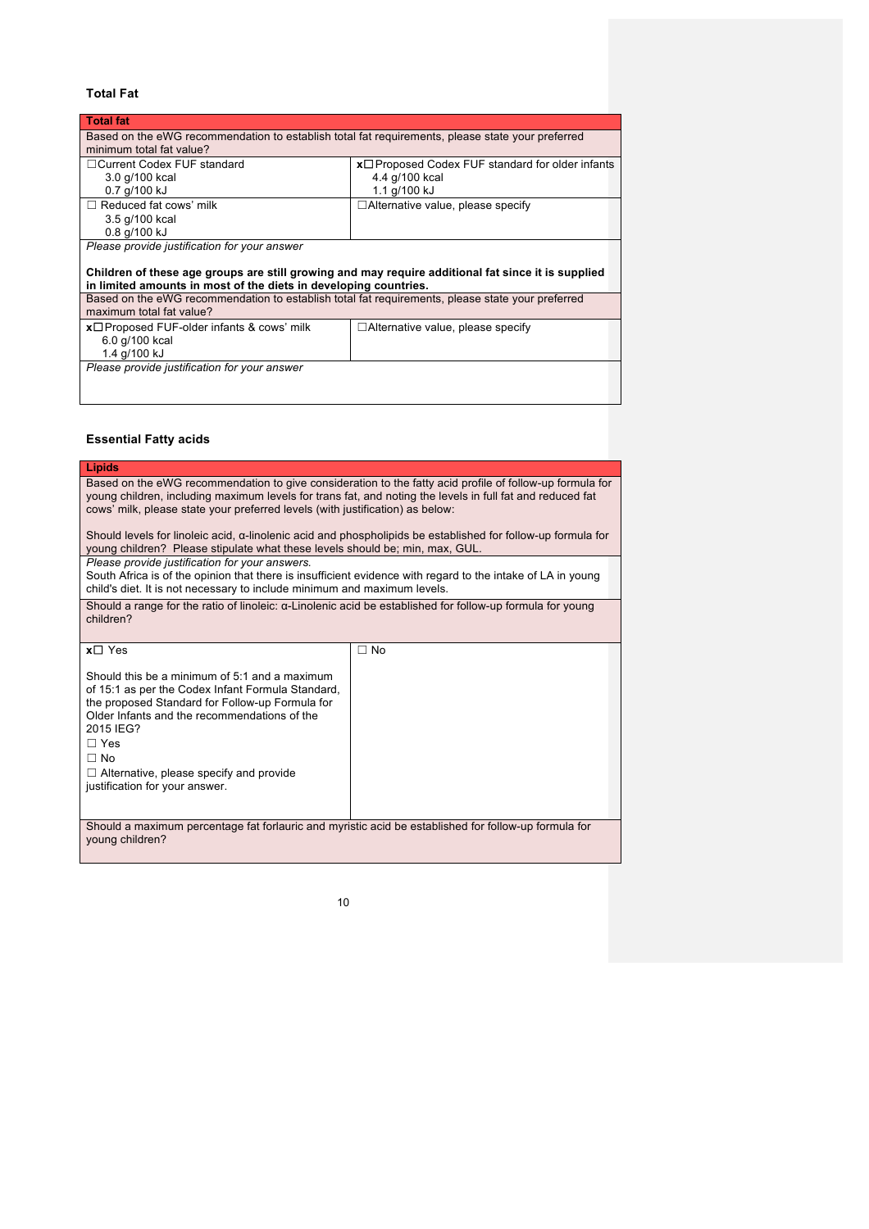### **Total Fat**

| <b>Total fat</b>                                                                                   |                                                        |  |
|----------------------------------------------------------------------------------------------------|--------------------------------------------------------|--|
| Based on the eWG recommendation to establish total fat requirements, please state your preferred   |                                                        |  |
| minimum total fat value?                                                                           |                                                        |  |
| □ Current Codex FUF standard                                                                       | $x \Box$ Proposed Codex FUF standard for older infants |  |
| 3.0 g/100 kcal                                                                                     | 4.4 g/100 kcal                                         |  |
| 0.7 g/100 kJ                                                                                       | 1.1 g/100 kJ                                           |  |
| $\Box$ Reduced fat cows' milk                                                                      | $\Box$ Alternative value, please specify               |  |
| 3.5 g/100 kcal                                                                                     |                                                        |  |
| 0.8 g/100 kJ                                                                                       |                                                        |  |
| Please provide justification for your answer                                                       |                                                        |  |
|                                                                                                    |                                                        |  |
| Children of these age groups are still growing and may require additional fat since it is supplied |                                                        |  |
| in limited amounts in most of the diets in developing countries.                                   |                                                        |  |
| Based on the eWG recommendation to establish total fat requirements, please state your preferred   |                                                        |  |
| maximum total fat value?                                                                           |                                                        |  |
| $x\square$ Proposed FUF-older infants & cows' milk                                                 | $\Box$ Alternative value, please specify               |  |
| 6.0 g/100 kcal                                                                                     |                                                        |  |
| 1.4 g/100 kJ                                                                                       |                                                        |  |
| Please provide justification for your answer                                                       |                                                        |  |
|                                                                                                    |                                                        |  |

### **Essential Fatty acids**

| Lipids                                                                                                                                                                                                                                                                                                                                                                                                                                                                                                                                                           |           |  |
|------------------------------------------------------------------------------------------------------------------------------------------------------------------------------------------------------------------------------------------------------------------------------------------------------------------------------------------------------------------------------------------------------------------------------------------------------------------------------------------------------------------------------------------------------------------|-----------|--|
| Based on the eWG recommendation to give consideration to the fatty acid profile of follow-up formula for<br>young children, including maximum levels for trans fat, and noting the levels in full fat and reduced fat<br>cows' milk, please state your preferred levels (with justification) as below:<br>Should levels for linoleic acid, $\alpha$ -linolenic acid and phospholipids be established for follow-up formula for<br>young children? Please stipulate what these levels should be; min, max, GUL.<br>Please provide justification for your answers. |           |  |
| South Africa is of the opinion that there is insufficient evidence with regard to the intake of LA in young<br>child's diet. It is not necessary to include minimum and maximum levels.                                                                                                                                                                                                                                                                                                                                                                          |           |  |
| Should a range for the ratio of linoleic: $\alpha$ -Linolenic acid be established for follow-up formula for young<br>children?                                                                                                                                                                                                                                                                                                                                                                                                                                   |           |  |
| $x \Box$ Yes                                                                                                                                                                                                                                                                                                                                                                                                                                                                                                                                                     | $\Box$ No |  |
| Should this be a minimum of 5:1 and a maximum<br>of 15:1 as per the Codex Infant Formula Standard,<br>the proposed Standard for Follow-up Formula for<br>Older Infants and the recommendations of the<br>2015 IEG?<br>$\Box$ Yes<br>$\Box$ No<br>$\Box$ Alternative, please specify and provide<br>justification for your answer.                                                                                                                                                                                                                                |           |  |
| Should a maximum percentage fat forlauric and myristic acid be established for follow-up formula for<br>young children?                                                                                                                                                                                                                                                                                                                                                                                                                                          |           |  |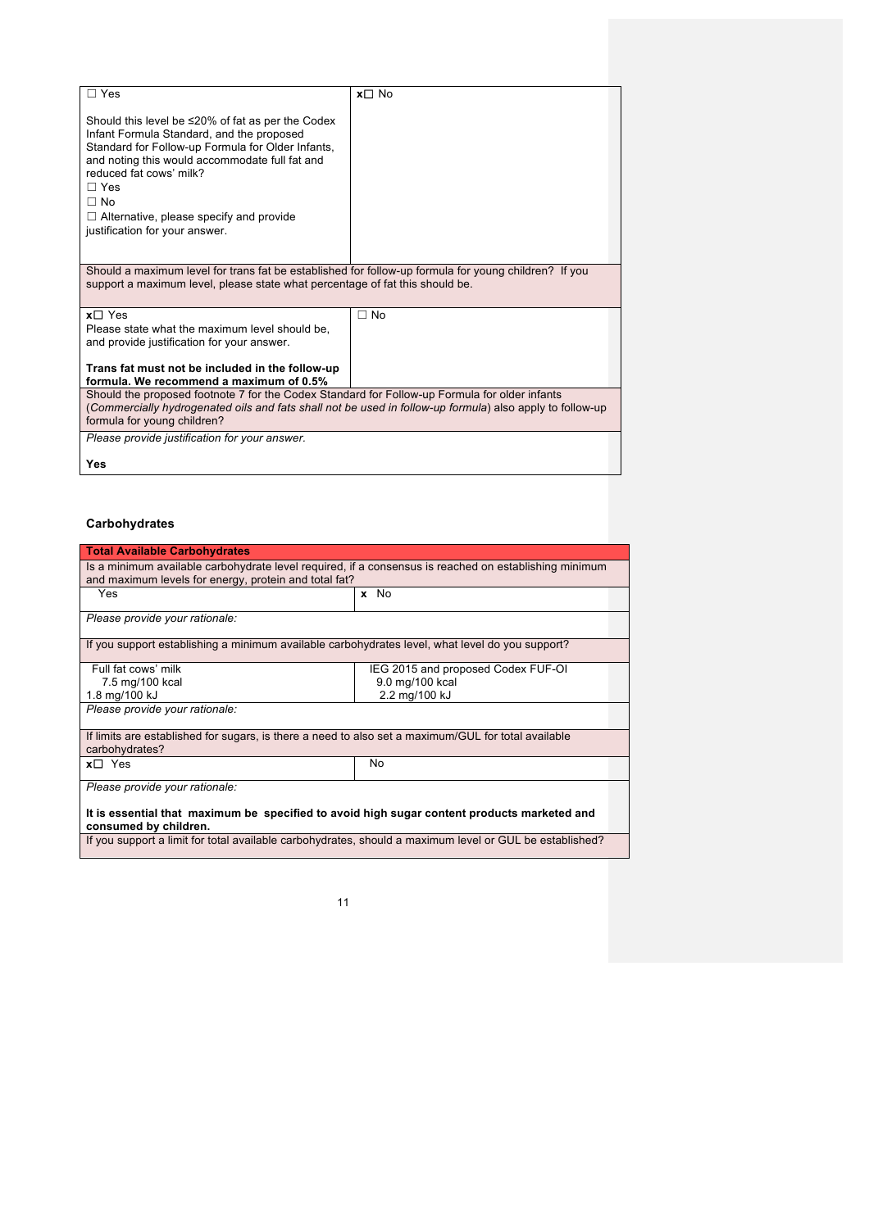| $\sqcap$ Yes                                                                                                                                                                                                                                                                                                                                          | $x \Box$ No |  |
|-------------------------------------------------------------------------------------------------------------------------------------------------------------------------------------------------------------------------------------------------------------------------------------------------------------------------------------------------------|-------------|--|
| Should this level be $\leq$ 20% of fat as per the Codex<br>Infant Formula Standard, and the proposed<br>Standard for Follow-up Formula for Older Infants,<br>and noting this would accommodate full fat and<br>reduced fat cows' milk?<br>$\Box$ Yes<br>$\Box$ No<br>$\Box$ Alternative, please specify and provide<br>justification for your answer. |             |  |
| Should a maximum level for trans fat be established for follow-up formula for young children? If you<br>support a maximum level, please state what percentage of fat this should be.                                                                                                                                                                  |             |  |
| $x \Box$ Yes<br>Please state what the maximum level should be.<br>and provide justification for your answer.<br>Trans fat must not be included in the follow-up<br>formula. We recommend a maximum of 0.5%                                                                                                                                            | $\Box$ No   |  |
| Should the proposed footnote 7 for the Codex Standard for Follow-up Formula for older infants<br>(Commercially hydrogenated oils and fats shall not be used in follow-up formula) also apply to follow-up<br>formula for young children?                                                                                                              |             |  |
| Please provide justification for your answer.<br>Yes                                                                                                                                                                                                                                                                                                  |             |  |

### **Carbohydrates**

| <b>Total Available Carbohydrates</b>                                                                                                                           |                                    |  |
|----------------------------------------------------------------------------------------------------------------------------------------------------------------|------------------------------------|--|
| Is a minimum available carbohydrate level required, if a consensus is reached on establishing minimum<br>and maximum levels for energy, protein and total fat? |                                    |  |
| Yes                                                                                                                                                            | x No                               |  |
| Please provide your rationale:                                                                                                                                 |                                    |  |
| If you support establishing a minimum available carbohydrates level, what level do you support?                                                                |                                    |  |
| Full fat cows' milk                                                                                                                                            | IEG 2015 and proposed Codex FUF-OI |  |
| 7.5 mg/100 kcal                                                                                                                                                | 9.0 mg/100 kcal                    |  |
| 1.8 mg/100 kJ                                                                                                                                                  | 2.2 mg/100 kJ                      |  |
| Please provide your rationale:                                                                                                                                 |                                    |  |
| If limits are established for sugars, is there a need to also set a maximum/GUL for total available<br>carbohydrates?                                          |                                    |  |
| $x \Box$ Yes                                                                                                                                                   | No                                 |  |
| Please provide your rationale:                                                                                                                                 |                                    |  |
| It is essential that maximum be specified to avoid high sugar content products marketed and<br>consumed by children.                                           |                                    |  |
| If you support a limit for total available carbohydrates, should a maximum level or GUL be established?                                                        |                                    |  |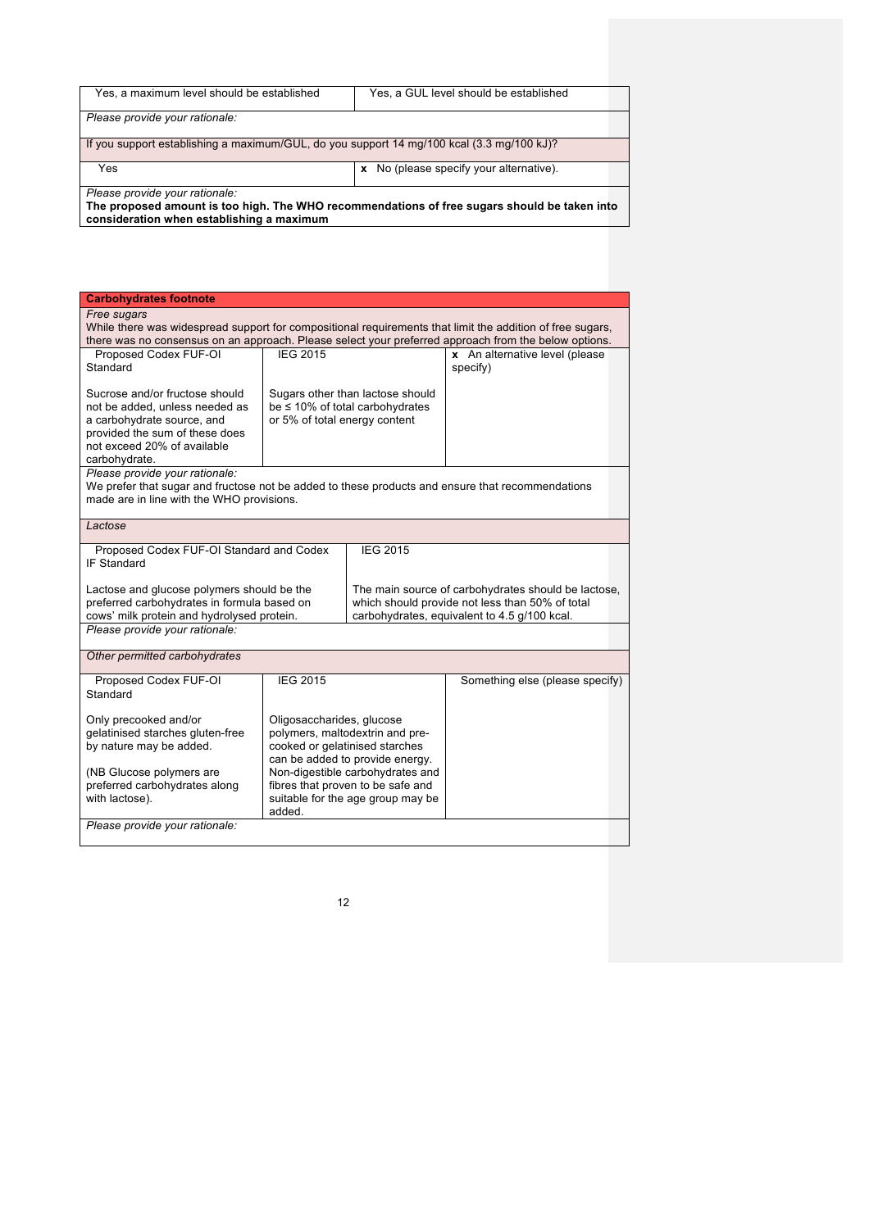| Yes, a maximum level should be established                                                | Yes, a GUL level should be established                                                       |  |
|-------------------------------------------------------------------------------------------|----------------------------------------------------------------------------------------------|--|
| Please provide your rationale:                                                            |                                                                                              |  |
| If you support establishing a maximum/GUL, do you support 14 mg/100 kcal (3.3 mg/100 kJ)? |                                                                                              |  |
| Yes                                                                                       | x No (please specify your alternative).                                                      |  |
| Please provide your rationale:                                                            | The proposed amount is too high. The WHO recommendations of free sugars should be taken into |  |

**The proposed amount is too high. The WHO recommendations of free sugars should be taken into consideration when establishing a maximum**

| <b>Carbohydrates footnote</b>                                                                                                                                                                                     |                                                                                                   |                                  |                                                 |  |
|-------------------------------------------------------------------------------------------------------------------------------------------------------------------------------------------------------------------|---------------------------------------------------------------------------------------------------|----------------------------------|-------------------------------------------------|--|
|                                                                                                                                                                                                                   | Free sugars                                                                                       |                                  |                                                 |  |
| While there was widespread support for compositional requirements that limit the addition of free sugars,<br>there was no consensus on an approach. Please select your preferred approach from the below options. |                                                                                                   |                                  |                                                 |  |
|                                                                                                                                                                                                                   |                                                                                                   |                                  |                                                 |  |
| Proposed Codex FUF-OI                                                                                                                                                                                             | <b>IEG 2015</b>                                                                                   |                                  | x An alternative level (please                  |  |
| Standard                                                                                                                                                                                                          |                                                                                                   |                                  | specify)                                        |  |
|                                                                                                                                                                                                                   |                                                                                                   |                                  |                                                 |  |
| Sucrose and/or fructose should                                                                                                                                                                                    |                                                                                                   | Sugars other than lactose should |                                                 |  |
| not be added, unless needed as                                                                                                                                                                                    |                                                                                                   | be ≤ 10% of total carbohydrates  |                                                 |  |
| a carbohydrate source, and                                                                                                                                                                                        | or 5% of total energy content                                                                     |                                  |                                                 |  |
| provided the sum of these does<br>not exceed 20% of available                                                                                                                                                     |                                                                                                   |                                  |                                                 |  |
|                                                                                                                                                                                                                   |                                                                                                   |                                  |                                                 |  |
| carbohydrate.<br>Please provide your rationale:                                                                                                                                                                   |                                                                                                   |                                  |                                                 |  |
| We prefer that sugar and fructose not be added to these products and ensure that recommendations                                                                                                                  |                                                                                                   |                                  |                                                 |  |
| made are in line with the WHO provisions.                                                                                                                                                                         |                                                                                                   |                                  |                                                 |  |
|                                                                                                                                                                                                                   |                                                                                                   |                                  |                                                 |  |
| Lactose                                                                                                                                                                                                           |                                                                                                   |                                  |                                                 |  |
|                                                                                                                                                                                                                   |                                                                                                   |                                  |                                                 |  |
| Proposed Codex FUF-OI Standard and Codex                                                                                                                                                                          |                                                                                                   | <b>IEG 2015</b>                  |                                                 |  |
| <b>IF Standard</b>                                                                                                                                                                                                |                                                                                                   |                                  |                                                 |  |
|                                                                                                                                                                                                                   |                                                                                                   |                                  |                                                 |  |
|                                                                                                                                                                                                                   | Lactose and glucose polymers should be the<br>The main source of carbohydrates should be lactose, |                                  |                                                 |  |
| preferred carbohydrates in formula based on                                                                                                                                                                       |                                                                                                   |                                  | which should provide not less than 50% of total |  |
| cows' milk protein and hydrolysed protein.                                                                                                                                                                        |                                                                                                   |                                  | carbohydrates, equivalent to 4.5 g/100 kcal.    |  |
| Please provide your rationale:                                                                                                                                                                                    |                                                                                                   |                                  |                                                 |  |
|                                                                                                                                                                                                                   |                                                                                                   |                                  |                                                 |  |
| Other permitted carbohydrates                                                                                                                                                                                     |                                                                                                   |                                  |                                                 |  |
| Proposed Codex FUF-OI                                                                                                                                                                                             | <b>IEG 2015</b>                                                                                   |                                  | Something else (please specify)                 |  |
| Standard                                                                                                                                                                                                          |                                                                                                   |                                  |                                                 |  |
|                                                                                                                                                                                                                   |                                                                                                   |                                  |                                                 |  |
| Only precooked and/or                                                                                                                                                                                             | Oligosaccharides, glucose                                                                         |                                  |                                                 |  |
| gelatinised starches gluten-free                                                                                                                                                                                  | polymers, maltodextrin and pre-                                                                   |                                  |                                                 |  |
| by nature may be added.                                                                                                                                                                                           |                                                                                                   | cooked or gelatinised starches   |                                                 |  |
|                                                                                                                                                                                                                   |                                                                                                   | can be added to provide energy.  |                                                 |  |
| (NB Glucose polymers are                                                                                                                                                                                          | Non-digestible carbohydrates and                                                                  |                                  |                                                 |  |
| preferred carbohydrates along                                                                                                                                                                                     | fibres that proven to be safe and                                                                 |                                  |                                                 |  |
| with lactose).                                                                                                                                                                                                    | suitable for the age group may be                                                                 |                                  |                                                 |  |
|                                                                                                                                                                                                                   | added.                                                                                            |                                  |                                                 |  |
| Please provide your rationale:                                                                                                                                                                                    |                                                                                                   |                                  |                                                 |  |
|                                                                                                                                                                                                                   |                                                                                                   |                                  |                                                 |  |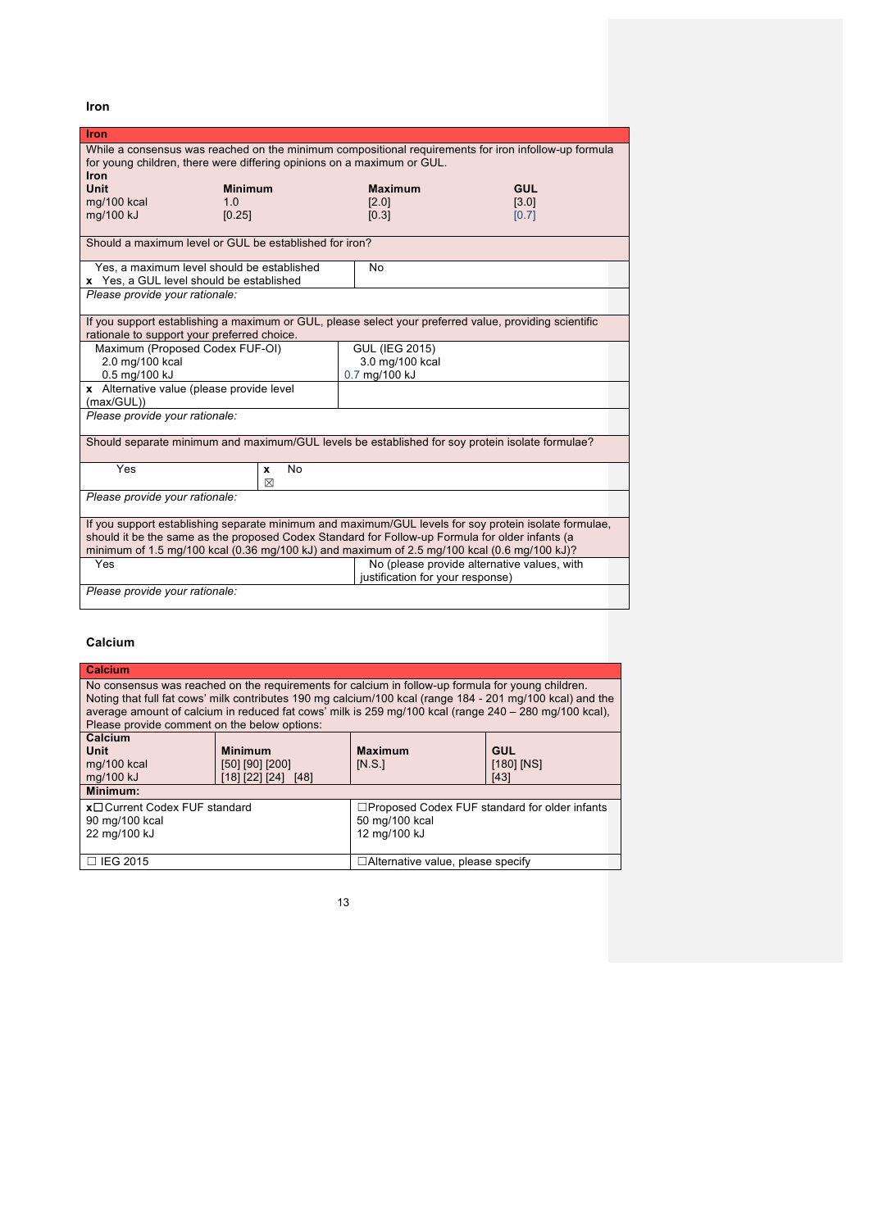**Iron**

| <b>Iron</b>                                                                                           |                                                                                                        |                                  |                                             |
|-------------------------------------------------------------------------------------------------------|--------------------------------------------------------------------------------------------------------|----------------------------------|---------------------------------------------|
| While a consensus was reached on the minimum compositional requirements for iron infollow-up formula  |                                                                                                        |                                  |                                             |
| Iron                                                                                                  | for young children, there were differing opinions on a maximum or GUL.                                 |                                  |                                             |
| <b>Unit</b>                                                                                           | <b>Minimum</b>                                                                                         | <b>Maximum</b>                   | <b>GUL</b>                                  |
| mg/100 kcal                                                                                           | 1 <sub>0</sub>                                                                                         | [2.0]                            | [3.0]                                       |
| mg/100 kJ                                                                                             | [0.25]                                                                                                 | [0.3]                            | [0.7]                                       |
|                                                                                                       | Should a maximum level or GUL be established for iron?                                                 |                                  |                                             |
|                                                                                                       |                                                                                                        |                                  |                                             |
|                                                                                                       | Yes, a maximum level should be established                                                             | No                               |                                             |
| Please provide your rationale:                                                                        | x Yes, a GUL level should be established                                                               |                                  |                                             |
|                                                                                                       |                                                                                                        |                                  |                                             |
|                                                                                                       | If you support establishing a maximum or GUL, please select your preferred value, providing scientific |                                  |                                             |
|                                                                                                       | rationale to support your preferred choice.                                                            |                                  |                                             |
|                                                                                                       | Maximum (Proposed Codex FUF-OI)                                                                        | <b>GUL (IEG 2015)</b>            |                                             |
| 2.0 mg/100 kcal                                                                                       |                                                                                                        | 3.0 mg/100 kcal<br>0.7 mg/100 kJ |                                             |
| 0.5 mg/100 kJ<br>x Alternative value (please provide level                                            |                                                                                                        |                                  |                                             |
| (max/GUL))                                                                                            |                                                                                                        |                                  |                                             |
| Please provide your rationale:                                                                        |                                                                                                        |                                  |                                             |
|                                                                                                       |                                                                                                        |                                  |                                             |
| Should separate minimum and maximum/GUL levels be established for soy protein isolate formulae?       |                                                                                                        |                                  |                                             |
| Yes                                                                                                   | <b>No</b><br>x                                                                                         |                                  |                                             |
|                                                                                                       | ⊠                                                                                                      |                                  |                                             |
| Please provide your rationale:                                                                        |                                                                                                        |                                  |                                             |
| If you support establishing separate minimum and maximum/GUL levels for soy protein isolate formulae, |                                                                                                        |                                  |                                             |
| should it be the same as the proposed Codex Standard for Follow-up Formula for older infants (a       |                                                                                                        |                                  |                                             |
|                                                                                                       | minimum of 1.5 mg/100 kcal (0.36 mg/100 kJ) and maximum of 2.5 mg/100 kcal (0.6 mg/100 kJ)?            |                                  |                                             |
| Yes                                                                                                   |                                                                                                        | justification for your response) | No (please provide alternative values, with |
| Please provide your rationale:                                                                        |                                                                                                        |                                  |                                             |
|                                                                                                       |                                                                                                        |                                  |                                             |

### **Calcium**

| Calcium                                                                                                                                                                                                                                                                                                                                                                 |                                                             |                                                                                        |                                      |  |
|-------------------------------------------------------------------------------------------------------------------------------------------------------------------------------------------------------------------------------------------------------------------------------------------------------------------------------------------------------------------------|-------------------------------------------------------------|----------------------------------------------------------------------------------------|--------------------------------------|--|
| No consensus was reached on the requirements for calcium in follow-up formula for young children.<br>Noting that full fat cows' milk contributes 190 mg calcium/100 kcal (range 184 - 201 mg/100 kcal) and the<br>average amount of calcium in reduced fat cows' milk is 259 mg/100 kcal (range 240 - 280 mg/100 kcal),<br>Please provide comment on the below options: |                                                             |                                                                                        |                                      |  |
| Calcium<br><b>Unit</b><br>mg/100 kcal<br>mg/100 kJ                                                                                                                                                                                                                                                                                                                      | <b>Minimum</b><br>[50] [90] [200]<br>[18] [22] [24]<br>[48] | <b>Maximum</b><br>IN.S.                                                                | <b>GUL</b><br>$[180]$ $[NS]$<br>[43] |  |
| Minimum:                                                                                                                                                                                                                                                                                                                                                                |                                                             |                                                                                        |                                      |  |
| x□ Current Codex FUF standard<br>90 mg/100 kcal<br>22 mg/100 kJ                                                                                                                                                                                                                                                                                                         |                                                             | $\Box$ Proposed Codex FUF standard for older infants<br>50 mg/100 kcal<br>12 mg/100 kJ |                                      |  |
| $\Box$ IEG 2015                                                                                                                                                                                                                                                                                                                                                         |                                                             | $\Box$ Alternative value, please specify                                               |                                      |  |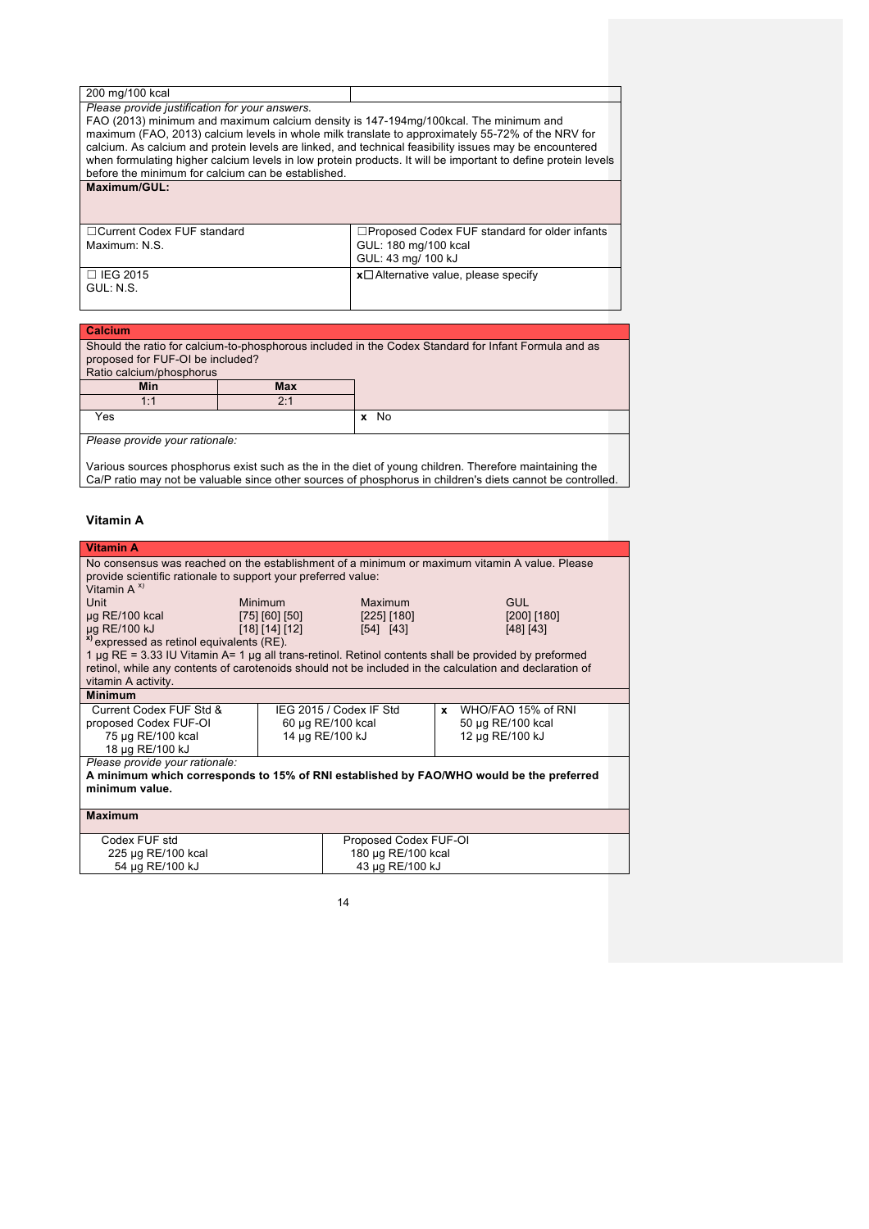|  |  | 200 mg/100 kcal |
|--|--|-----------------|
|--|--|-----------------|

*Please provide justification for your answers.*

FAO (2013) minimum and maximum calcium density is 147-194mg/100kcal. The minimum and maximum (FAO, 2013) calcium levels in whole milk translate to approximately 55-72% of the NRV for calcium. As calcium and protein levels are linked, and technical feasibility issues may be encountered when formulating higher calcium levels in low protein products. It will be important to define protein levels before the minimum for calcium can be established. **Maximum/GUL:**

| □ Current Codex FUF standard | $\Box$ Proposed Codex FUF standard for older infants |
|------------------------------|------------------------------------------------------|
| Maximum: N.S.                | GUL: 180 mg/100 kcal                                 |
|                              | GUL: 43 mg/ 100 kJ                                   |
| I □ IEG 2015                 | $x\Box$ Alternative value, please specify            |
| GUL: N.S.                    |                                                      |

### **Calcium**

Should the ratio for calcium-to-phosphorous included in the Codex Standard for Infant Formula and as proposed for FUF-OI be included? Ratio calcium/phosphorus<br> **Min Min Max** 1:1 2:1 **Yes** x No *Please provide your rationale:*

Various sources phosphorus exist such as the in the diet of young children. Therefore maintaining the Ca/P ratio may not be valuable since other sources of phosphorus in children's diets cannot be controlled.

### **Vitamin A**

| <b>Vitamin A</b>                                                                                               |                       |                         |                                                                                                         |  |
|----------------------------------------------------------------------------------------------------------------|-----------------------|-------------------------|---------------------------------------------------------------------------------------------------------|--|
| No consensus was reached on the establishment of a minimum or maximum vitamin A value. Please                  |                       |                         |                                                                                                         |  |
| provide scientific rationale to support your preferred value:                                                  |                       |                         |                                                                                                         |  |
| Vitamin $A^{x}$                                                                                                |                       |                         |                                                                                                         |  |
| Unit                                                                                                           | Minimum               | Maximum                 | GUL                                                                                                     |  |
| $\mu$ g RE/100 kcal                                                                                            | [75] [60] [50]        | [225] [180]             | $[200]$ [180]                                                                                           |  |
| µg RE/100 kJ                                                                                                   | [18] [14] [12]        | [54] [43]               | [48] [43]                                                                                               |  |
| <sup>x)</sup> expressed as retinol equivalents (RE).                                                           |                       |                         |                                                                                                         |  |
| 1 $\mu$ g RE = 3.33 IU Vitamin A= 1 $\mu$ g all trans-retinol. Retinol contents shall be provided by preformed |                       |                         | retinol, while any contents of carotenoids should not be included in the calculation and declaration of |  |
| vitamin A activity.                                                                                            |                       |                         |                                                                                                         |  |
| <b>Minimum</b>                                                                                                 |                       |                         |                                                                                                         |  |
| Current Codex FUF Std &                                                                                        |                       | IEG 2015 / Codex IF Std | WHO/FAO 15% of RNI<br>x                                                                                 |  |
| proposed Codex FUF-OI                                                                                          |                       | 60 µg RE/100 kcal       | 50 µg RE/100 kcal                                                                                       |  |
| 75 µg RE/100 kcal                                                                                              |                       | 14 µg RE/100 kJ         | 12 µg RE/100 kJ                                                                                         |  |
| 18 µg RE/100 kJ                                                                                                |                       |                         |                                                                                                         |  |
| Please provide your rationale:                                                                                 |                       |                         |                                                                                                         |  |
| A minimum which corresponds to 15% of RNI established by FAO/WHO would be the preferred                        |                       |                         |                                                                                                         |  |
| minimum value.                                                                                                 |                       |                         |                                                                                                         |  |
|                                                                                                                |                       |                         |                                                                                                         |  |
| <b>Maximum</b>                                                                                                 |                       |                         |                                                                                                         |  |
| Codex FUF std                                                                                                  | Proposed Codex FUF-OI |                         |                                                                                                         |  |
| 225 µg RE/100 kcal                                                                                             |                       | 180 µg RE/100 kcal      |                                                                                                         |  |
| 54 µg RE/100 kJ                                                                                                |                       | 43 µg RE/100 kJ         |                                                                                                         |  |
|                                                                                                                |                       |                         |                                                                                                         |  |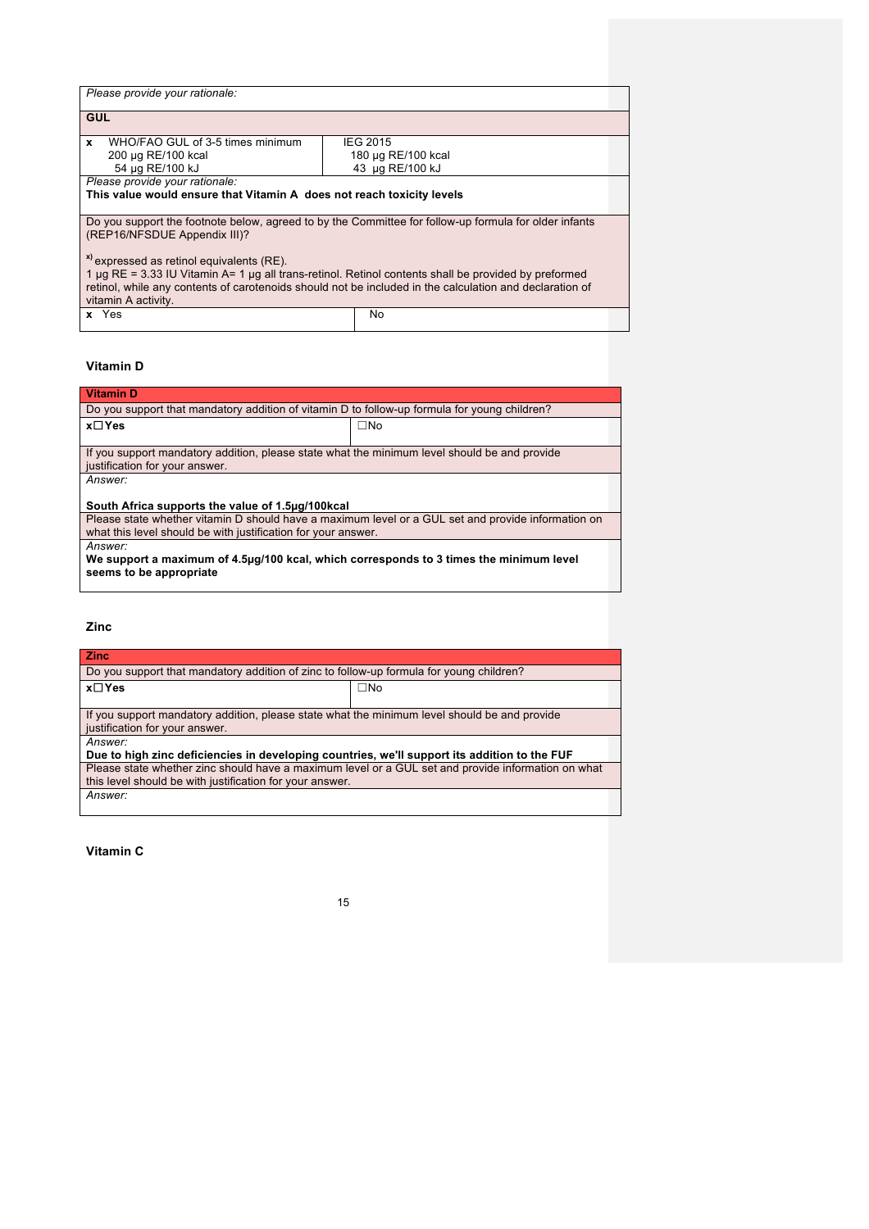| Please provide your rationale:                                                                          |                    |  |
|---------------------------------------------------------------------------------------------------------|--------------------|--|
| <b>GUL</b>                                                                                              |                    |  |
| WHO/FAO GUL of 3-5 times minimum<br>x                                                                   | <b>IEG 2015</b>    |  |
| 200 µg RE/100 kcal                                                                                      | 180 µg RE/100 kcal |  |
| 54 µg RE/100 kJ                                                                                         | 43 µg RE/100 kJ    |  |
| Please provide your rationale:                                                                          |                    |  |
| This value would ensure that Vitamin A does not reach toxicity levels                                   |                    |  |
|                                                                                                         |                    |  |
| Do you support the footnote below, agreed to by the Committee for follow-up formula for older infants   |                    |  |
| (REP16/NFSDUE Appendix III)?                                                                            |                    |  |
|                                                                                                         |                    |  |
| <sup>x</sup> expressed as retinol equivalents (RE).                                                     |                    |  |
| 1 µg RE = 3.33 IU Vitamin A= 1 µg all trans-retinol. Retinol contents shall be provided by preformed    |                    |  |
| retinol, while any contents of carotenoids should not be included in the calculation and declaration of |                    |  |
| vitamin A activity.                                                                                     |                    |  |
| x Yes                                                                                                   | No                 |  |
|                                                                                                         |                    |  |

### **Vitamin D**

| <b>Vitamin D</b>                                                                                   |           |  |
|----------------------------------------------------------------------------------------------------|-----------|--|
| Do you support that mandatory addition of vitamin D to follow-up formula for young children?       |           |  |
| x⊟Yes                                                                                              | $\Box$ No |  |
|                                                                                                    |           |  |
| If you support mandatory addition, please state what the minimum level should be and provide       |           |  |
| justification for your answer.                                                                     |           |  |
| Answer:                                                                                            |           |  |
|                                                                                                    |           |  |
| South Africa supports the value of 1.5µg/100kcal                                                   |           |  |
| Please state whether vitamin D should have a maximum level or a GUL set and provide information on |           |  |
| what this level should be with justification for your answer.                                      |           |  |
| Answer:                                                                                            |           |  |
| We support a maximum of 4.5µg/100 kcal, which corresponds to 3 times the minimum level             |           |  |
| seems to be appropriate                                                                            |           |  |
|                                                                                                    |           |  |

### **Zinc**

| <b>Zinc</b>                                                                                        |              |  |
|----------------------------------------------------------------------------------------------------|--------------|--|
| Do you support that mandatory addition of zinc to follow-up formula for young children?            |              |  |
| x⊟Yes                                                                                              | $\square$ No |  |
|                                                                                                    |              |  |
| If you support mandatory addition, please state what the minimum level should be and provide       |              |  |
| justification for your answer.                                                                     |              |  |
| Answer:                                                                                            |              |  |
| Due to high zinc deficiencies in developing countries, we'll support its addition to the FUF       |              |  |
| Please state whether zinc should have a maximum level or a GUL set and provide information on what |              |  |
| this level should be with justification for your answer.                                           |              |  |
| Answer:                                                                                            |              |  |
|                                                                                                    |              |  |

**Vitamin C**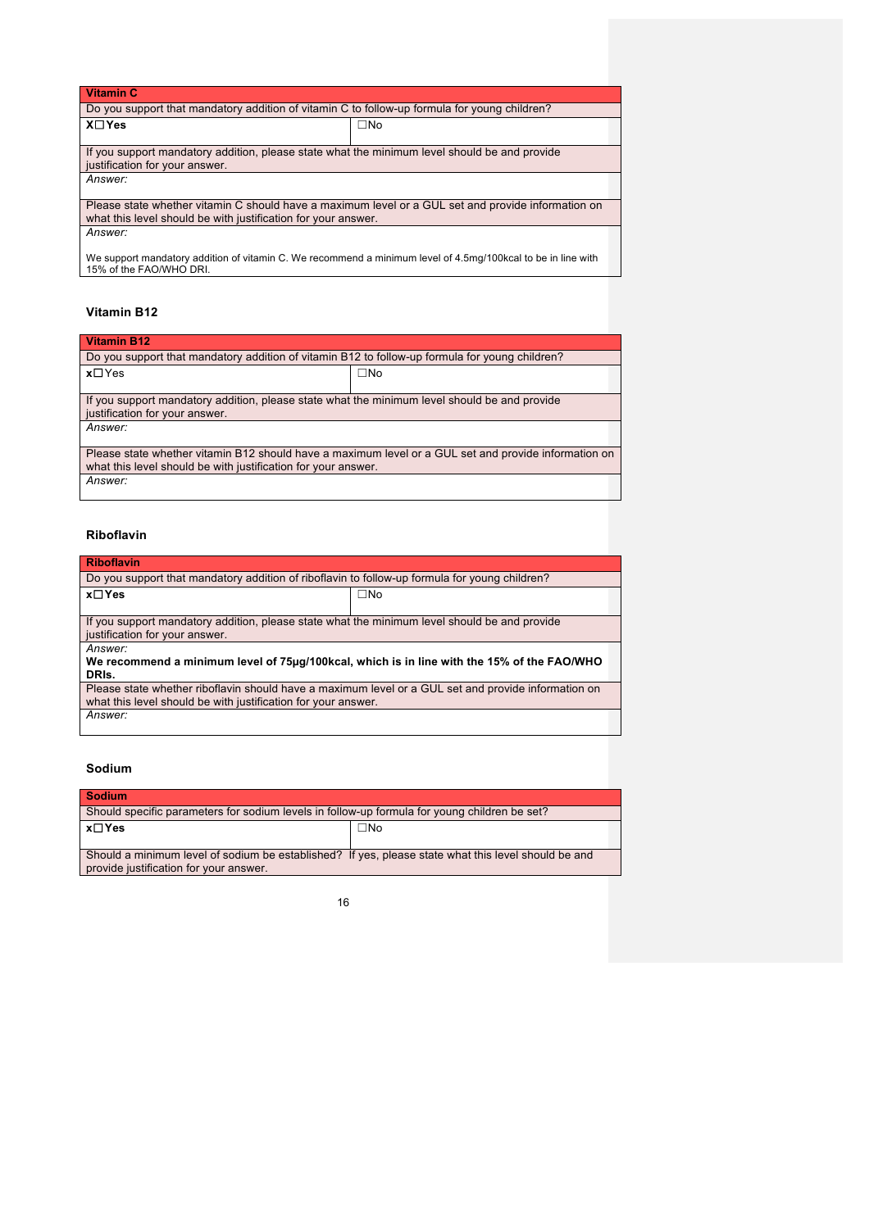| <b>Vitamin C</b>                                                                                                                        |              |  |
|-----------------------------------------------------------------------------------------------------------------------------------------|--------------|--|
| Do you support that mandatory addition of vitamin C to follow-up formula for young children?                                            |              |  |
| $X \square Y$ es                                                                                                                        | $\square$ No |  |
|                                                                                                                                         |              |  |
| If you support mandatory addition, please state what the minimum level should be and provide                                            |              |  |
| justification for your answer.                                                                                                          |              |  |
| Answer:                                                                                                                                 |              |  |
|                                                                                                                                         |              |  |
| Please state whether vitamin C should have a maximum level or a GUL set and provide information on                                      |              |  |
| what this level should be with justification for your answer.                                                                           |              |  |
| Answer:                                                                                                                                 |              |  |
|                                                                                                                                         |              |  |
| We support mandatory addition of vitamin C. We recommend a minimum level of 4.5mg/100kcal to be in line with<br>15% of the FAO/WHO DRI. |              |  |

### **Vitamin B12**

### **Vitamin B12**

| Do you support that mandatory addition of vitamin B12 to follow-up formula for young children?                                 |              |  |
|--------------------------------------------------------------------------------------------------------------------------------|--------------|--|
| $x \Box Y$ es                                                                                                                  | $\square$ No |  |
|                                                                                                                                |              |  |
| If you support mandatory addition, please state what the minimum level should be and provide<br>justification for your answer. |              |  |
| Answer:                                                                                                                        |              |  |
|                                                                                                                                |              |  |
| Please state whether vitamin B12 should have a maximum level or a GUL set and provide information on                           |              |  |
| what this level should be with justification for your answer.                                                                  |              |  |
| Answer:                                                                                                                        |              |  |
|                                                                                                                                |              |  |

### **Riboflavin**

| <b>Riboflavin</b>                                                                                   |              |  |
|-----------------------------------------------------------------------------------------------------|--------------|--|
| Do you support that mandatory addition of riboflavin to follow-up formula for young children?       |              |  |
| x□Yes                                                                                               | $\square$ No |  |
|                                                                                                     |              |  |
| If you support mandatory addition, please state what the minimum level should be and provide        |              |  |
| justification for your answer.                                                                      |              |  |
| Answer:                                                                                             |              |  |
| We recommend a minimum level of 75µg/100kcal, which is in line with the 15% of the FAO/WHO          |              |  |
| DRIs.                                                                                               |              |  |
| Please state whether riboflavin should have a maximum level or a GUL set and provide information on |              |  |
| what this level should be with justification for your answer.                                       |              |  |
| Answer:                                                                                             |              |  |

### **Sodium**

| <b>Sodium</b>                                                                                       |              |  |
|-----------------------------------------------------------------------------------------------------|--------------|--|
| Should specific parameters for sodium levels in follow-up formula for young children be set?        |              |  |
| ∣x⊟Yes                                                                                              | $\square$ No |  |
|                                                                                                     |              |  |
| Should a minimum level of sodium be established? If yes, please state what this level should be and |              |  |
| provide justification for your answer.                                                              |              |  |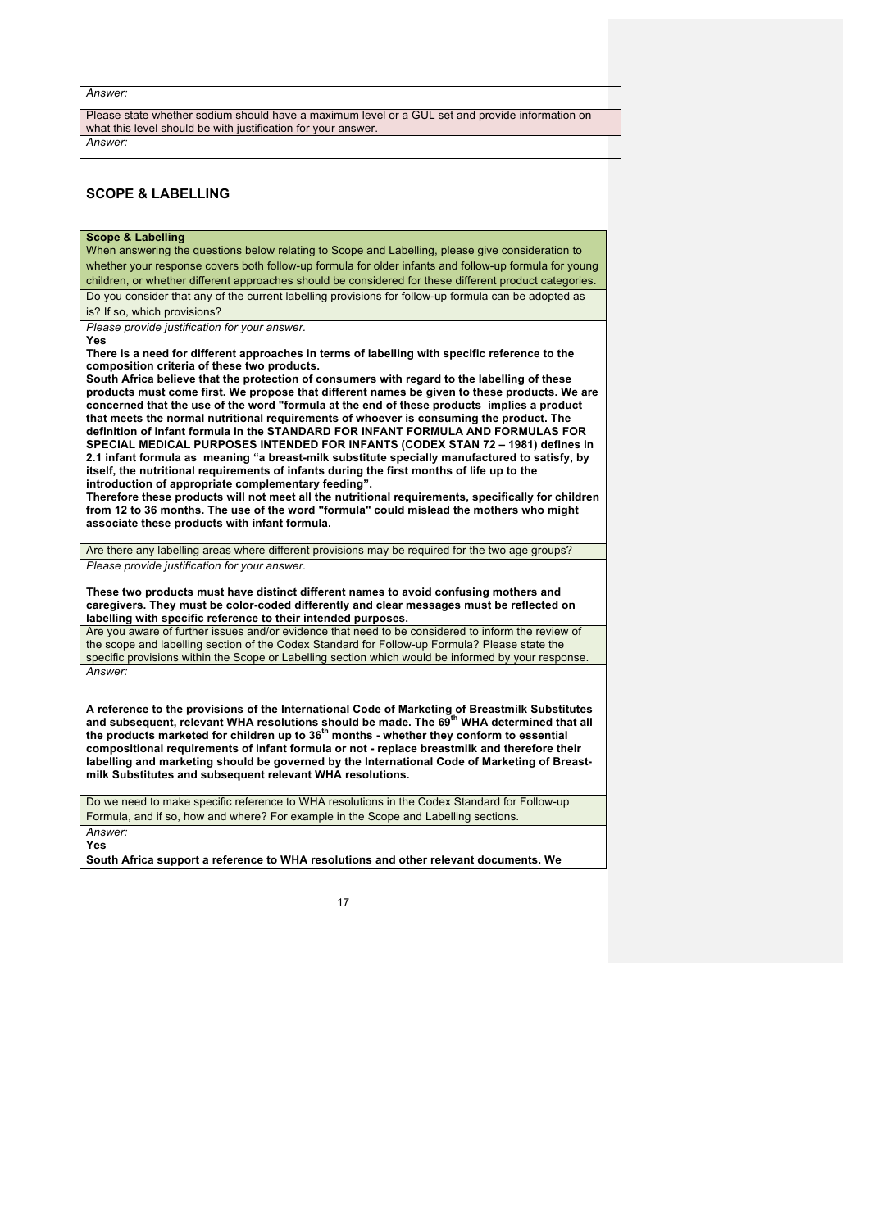#### *Answer:*

Please state whether sodium should have a maximum level or a GUL set and provide information on what this level should be with justification for your answer.

*Answer:*

### **SCOPE & LABELLING**

### **Scope & Labelling**

When answering the questions below relating to Scope and Labelling, please give consideration to whether your response covers both follow-up formula for older infants and follow-up formula for young children, or whether different approaches should be considered for these different product categories. Do you consider that any of the current labelling provisions for follow-up formula can be adopted as is? If so, which provisions?

*Please provide justification for your answer.*

**Yes**

**There is a need for different approaches in terms of labelling with specific reference to the composition criteria of these two products.**

**South Africa believe that the protection of consumers with regard to the labelling of these products must come first. We propose that different names be given to these products. We are concerned that the use of the word "formula at the end of these products implies a product that meets the normal nutritional requirements of whoever is consuming the product. The definition of infant formula in the STANDARD FOR INFANT FORMULA AND FORMULAS FOR SPECIAL MEDICAL PURPOSES INTENDED FOR INFANTS (CODEX STAN 72 – 1981) defines in 2.1 infant formula as meaning "a breast-milk substitute specially manufactured to satisfy, by itself, the nutritional requirements of infants during the first months of life up to the introduction of appropriate complementary feeding".**

**Therefore these products will not meet all the nutritional requirements, specifically for children from 12 to 36 months. The use of the word "formula" could mislead the mothers who might associate these products with infant formula.**

Are there any labelling areas where different provisions may be required for the two age groups? *Please provide justification for your answer.*

**These two products must have distinct different names to avoid confusing mothers and caregivers. They must be color-coded differently and clear messages must be reflected on labelling with specific reference to their intended purposes.**

Are you aware of further issues and/or evidence that need to be considered to inform the review of the scope and labelling section of the Codex Standard for Follow-up Formula? Please state the specific provisions within the Scope or Labelling section which would be informed by your response. *Answer:*

**A reference to the provisions of the International Code of Marketing of Breastmilk Substitutes and subsequent, relevant WHA resolutions should be made. The 69th WHA determined that all the products marketed for children up to 36th months - whether they conform to essential compositional requirements of infant formula or not - replace breastmilk and therefore their labelling and marketing should be governed by the International Code of Marketing of Breastmilk Substitutes and subsequent relevant WHA resolutions.** 

Do we need to make specific reference to WHA resolutions in the Codex Standard for Follow-up Formula, and if so, how and where? For example in the Scope and Labelling sections. *Answer:*

**Yes**

**South Africa support a reference to WHA resolutions and other relevant documents. We**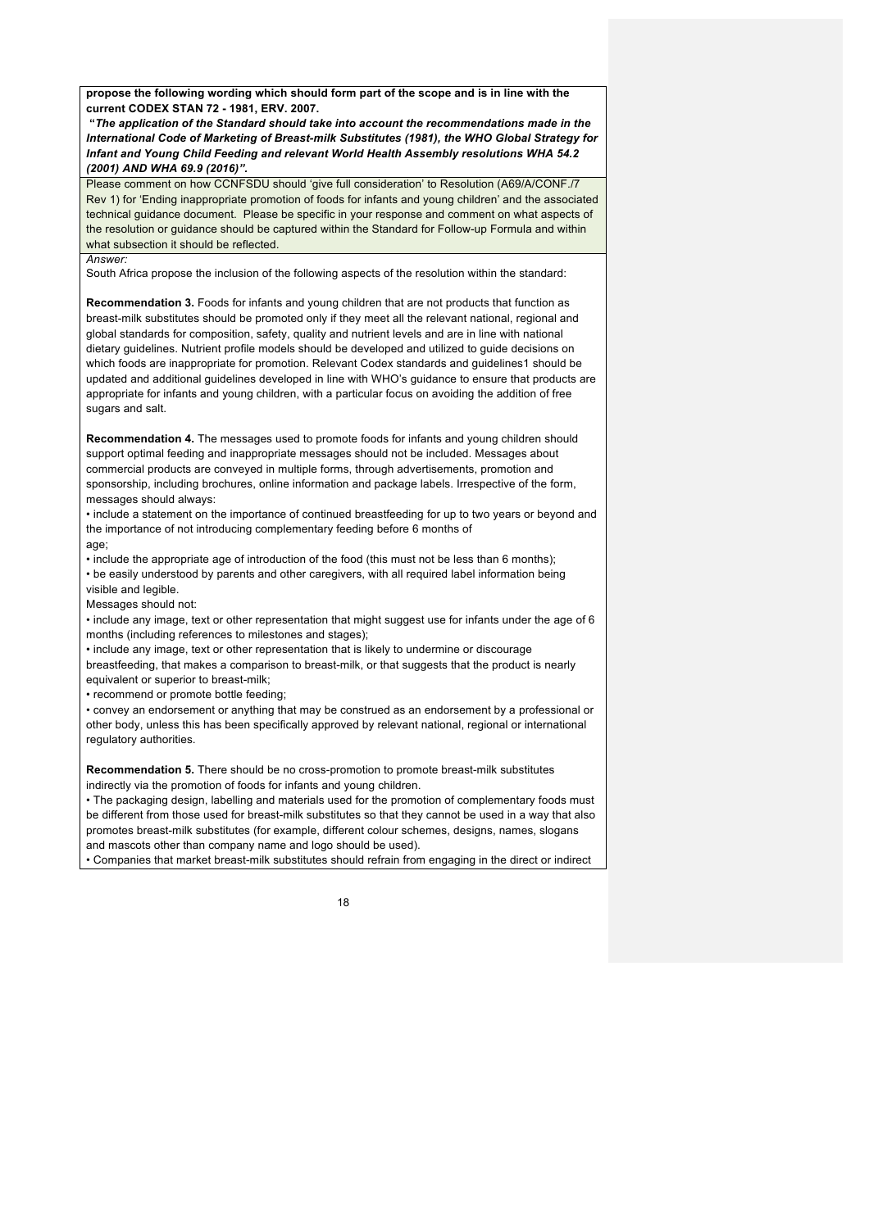**propose the following wording which should form part of the scope and is in line with the current CODEX STAN 72 - 1981, ERV. 2007.** 

**"***The application of the Standard should take into account the recommendations made in the International Code of Marketing of Breast-milk Substitutes (1981), the WHO Global Strategy for Infant and Young Child Feeding and relevant World Health Assembly resolutions WHA 54.2 (2001) AND WHA 69.9 (2016)".*

Please comment on how CCNFSDU should 'give full consideration' to Resolution (A69/A/CONF./7 Rev 1) for 'Ending inappropriate promotion of foods for infants and young children' and the associated technical guidance document. Please be specific in your response and comment on what aspects of the resolution or guidance should be captured within the Standard for Follow-up Formula and within what subsection it should be reflected.

#### *Answer:*

South Africa propose the inclusion of the following aspects of the resolution within the standard:

**Recommendation 3.** Foods for infants and young children that are not products that function as breast-milk substitutes should be promoted only if they meet all the relevant national, regional and global standards for composition, safety, quality and nutrient levels and are in line with national dietary guidelines. Nutrient profile models should be developed and utilized to guide decisions on which foods are inappropriate for promotion. Relevant Codex standards and guidelines1 should be updated and additional guidelines developed in line with WHO's guidance to ensure that products are appropriate for infants and young children, with a particular focus on avoiding the addition of free sugars and salt.

**Recommendation 4.** The messages used to promote foods for infants and young children should support optimal feeding and inappropriate messages should not be included. Messages about commercial products are conveyed in multiple forms, through advertisements, promotion and sponsorship, including brochures, online information and package labels. Irrespective of the form, messages should always:

• include a statement on the importance of continued breastfeeding for up to two years or beyond and the importance of not introducing complementary feeding before 6 months of age;

• include the appropriate age of introduction of the food (this must not be less than 6 months); • be easily understood by parents and other caregivers, with all required label information being

visible and legible.

Messages should not: • include any image, text or other representation that might suggest use for infants under the age of 6

months (including references to milestones and stages);

• include any image, text or other representation that is likely to undermine or discourage breastfeeding, that makes a comparison to breast-milk, or that suggests that the product is nearly equivalent or superior to breast-milk;

• recommend or promote bottle feeding;

• convey an endorsement or anything that may be construed as an endorsement by a professional or other body, unless this has been specifically approved by relevant national, regional or international regulatory authorities.

**Recommendation 5.** There should be no cross-promotion to promote breast-milk substitutes indirectly via the promotion of foods for infants and young children.

• The packaging design, labelling and materials used for the promotion of complementary foods must be different from those used for breast-milk substitutes so that they cannot be used in a way that also promotes breast-milk substitutes (for example, different colour schemes, designs, names, slogans and mascots other than company name and logo should be used).

• Companies that market breast-milk substitutes should refrain from engaging in the direct or indirect